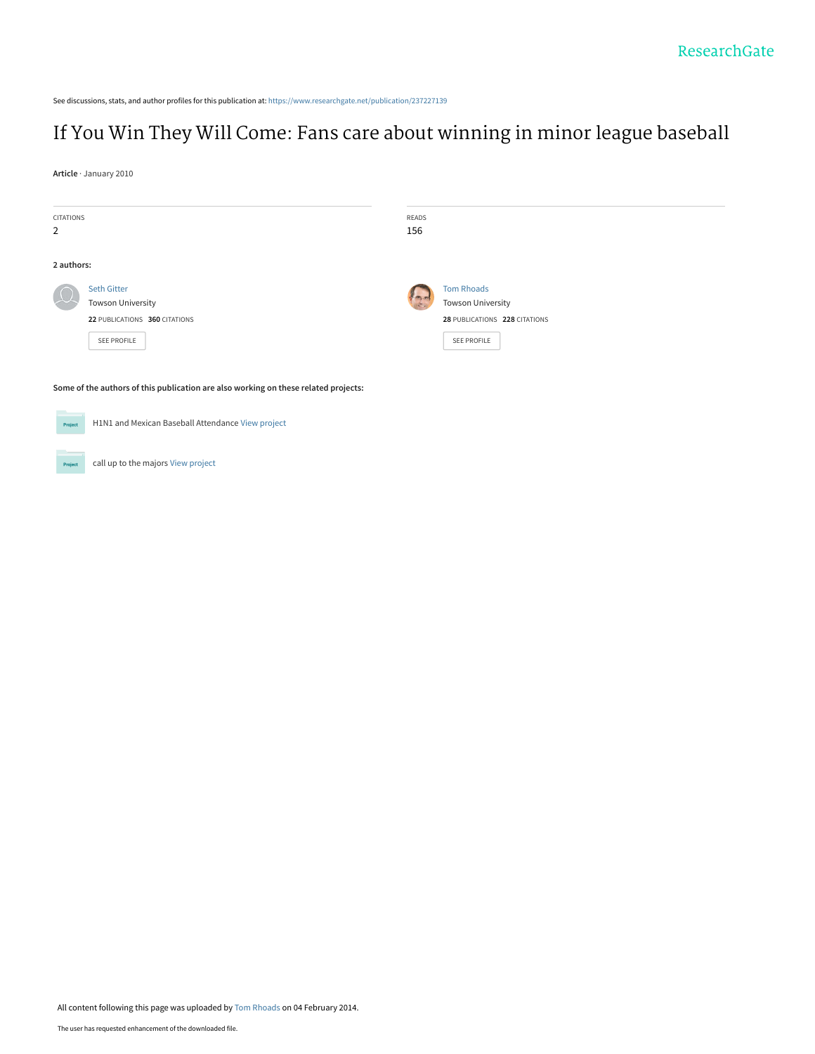See discussions, stats, and author profiles for this publication at: [https://www.researchgate.net/publication/237227139](https://www.researchgate.net/publication/237227139_If_You_Win_They_Will_Come_Fans_care_about_winning_in_minor_league_baseball?enrichId=rgreq-b6e72c3f4e5b13baa82e748bc8b437f5-XXX&enrichSource=Y292ZXJQYWdlOzIzNzIyNzEzOTtBUzo5NzY1NTYyNzcxNDU2OEAxNDAwMjk0MzI0ODI5&el=1_x_2&_esc=publicationCoverPdf)

# [If You Win They Will Come: Fans care about winning in minor league baseball](https://www.researchgate.net/publication/237227139_If_You_Win_They_Will_Come_Fans_care_about_winning_in_minor_league_baseball?enrichId=rgreq-b6e72c3f4e5b13baa82e748bc8b437f5-XXX&enrichSource=Y292ZXJQYWdlOzIzNzIyNzEzOTtBUzo5NzY1NTYyNzcxNDU2OEAxNDAwMjk0MzI0ODI5&el=1_x_3&_esc=publicationCoverPdf)

**Article** · January 2010

| CITATIONS<br>2                                                                      |                                                                                                | READS<br>156 |                                                                                                      |
|-------------------------------------------------------------------------------------|------------------------------------------------------------------------------------------------|--------------|------------------------------------------------------------------------------------------------------|
| 2 authors:                                                                          |                                                                                                |              |                                                                                                      |
|                                                                                     | <b>Seth Gitter</b><br><b>Towson University</b><br>22 PUBLICATIONS 360 CITATIONS<br>SEE PROFILE |              | <b>Tom Rhoads</b><br><b>Towson University</b><br>28 PUBLICATIONS 228 CITATIONS<br><b>SEE PROFILE</b> |
| Some of the authors of this publication are also working on these related projects: |                                                                                                |              |                                                                                                      |



Project

call up to the majors [View project](https://www.researchgate.net/project/call-up-to-the-majors?enrichId=rgreq-b6e72c3f4e5b13baa82e748bc8b437f5-XXX&enrichSource=Y292ZXJQYWdlOzIzNzIyNzEzOTtBUzo5NzY1NTYyNzcxNDU2OEAxNDAwMjk0MzI0ODI5&el=1_x_9&_esc=publicationCoverPdf)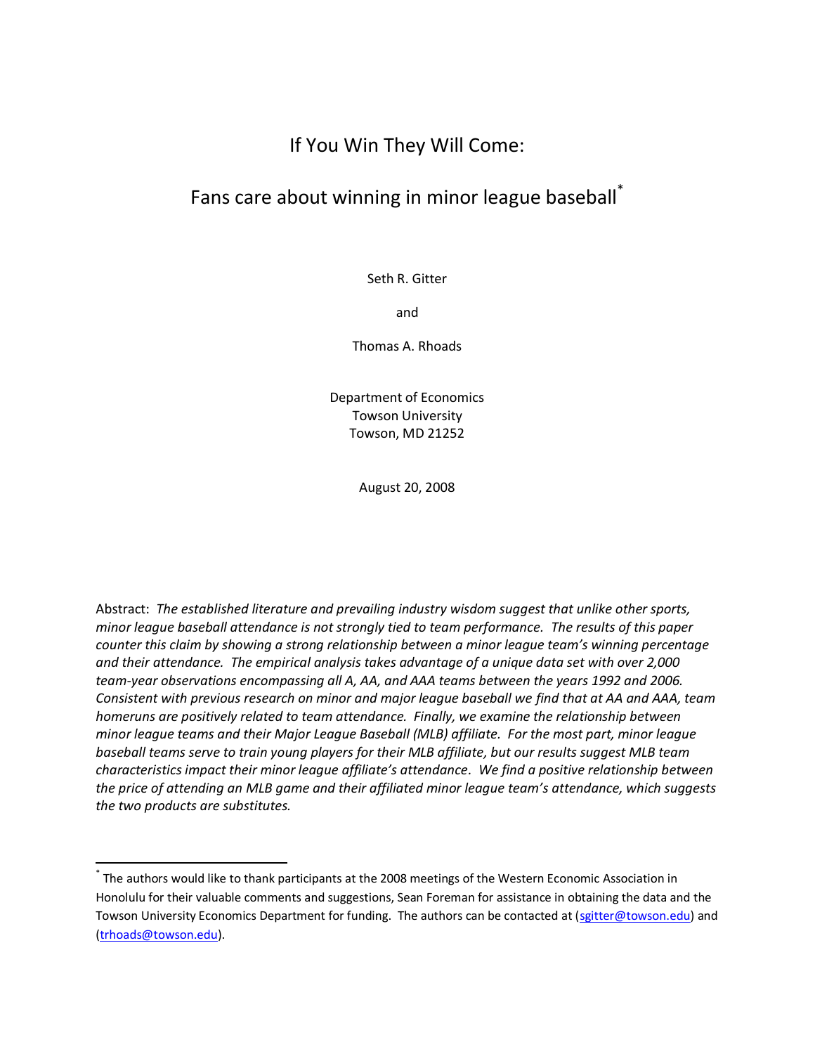## If You Win They Will Come:

## Fans care about winning in minor league baseball<sup>\*</sup>

Seth R. Gitter

and

Thomas A. Rhoads

Department of Economics Towson University Towson, MD 21252

August 20, 2008

Abstract: *The established literature and prevailing industry wisdom suggest that unlike other sports, minor league baseball attendance is not strongly tied to team performance. The results of this paper counter this claim by showing a strong relationship between a minor league team's winning percentage and their attendance. The empirical analysis takes advantage of a unique data set with over 2,000 team-year observations encompassing all A, AA, and AAA teams between the years 1992 and 2006. Consistent with previous research on minor and major league baseball we find that at AA and AAA, team homeruns are positively related to team attendance. Finally, we examine the relationship between minor league teams and their Major League Baseball (MLB) affiliate. For the most part, minor league baseball teams serve to train young players for their MLB affiliate, but our results suggest MLB team characteristics impact their minor league affiliate's attendance. We find a positive relationship between the price of attending an MLB game and their affiliated minor league team's attendance, which suggests the two products are substitutes.* 

 $\overline{\phantom{a}}$ 

<sup>\*</sup> The authors would like to thank participants at the 2008 meetings of the Western Economic Association in Honolulu for their valuable comments and suggestions, Sean Foreman for assistance in obtaining the data and the Towson University Economics Department for funding. The authors can be contacted at [\(sgitter@towson.edu\)](mailto:sgitter@towson.edu) and [\(trhoads@towson.edu\)](mailto:trhoads@towson.edu).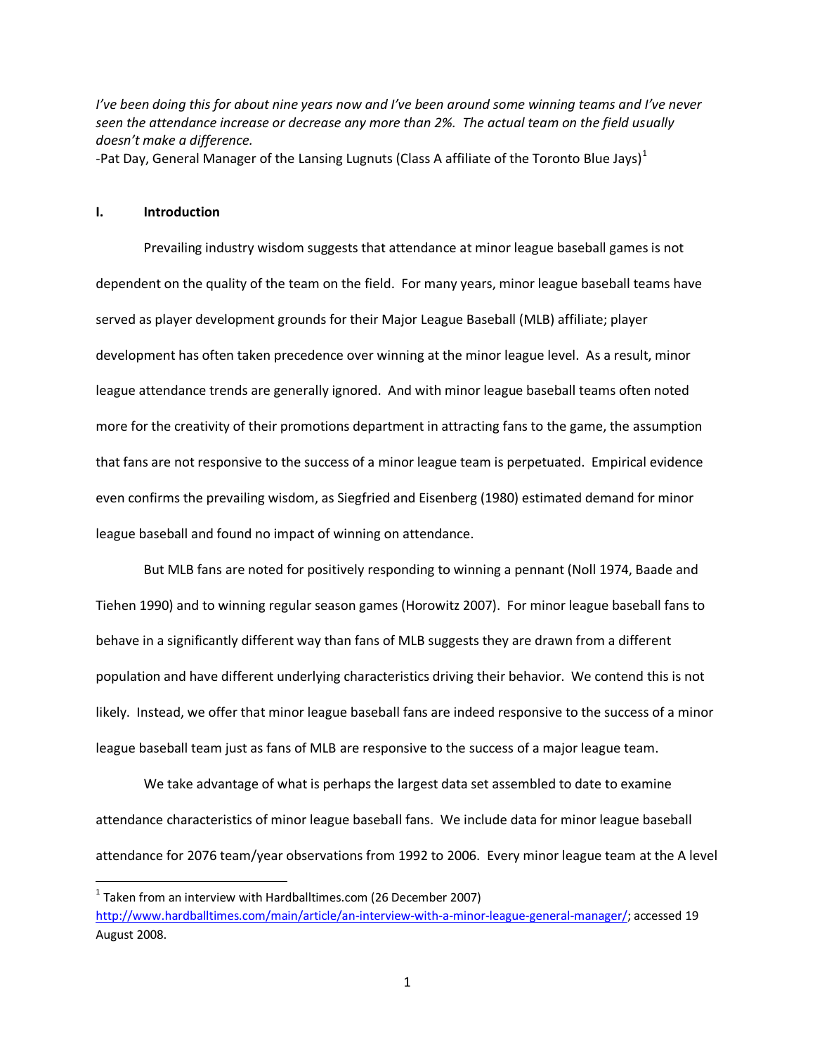*I've been doing this for about nine years now and I've been around some winning teams and I've never seen the attendance increase or decrease any more than 2%. The actual team on the field usually doesn't make a difference.*

-Pat Day, General Manager of the Lansing Lugnuts (Class A affiliate of the Toronto Blue Jays)<sup>1</sup>

#### **I. Introduction**

 $\overline{\phantom{a}}$ 

Prevailing industry wisdom suggests that attendance at minor league baseball games is not dependent on the quality of the team on the field. For many years, minor league baseball teams have served as player development grounds for their Major League Baseball (MLB) affiliate; player development has often taken precedence over winning at the minor league level. As a result, minor league attendance trends are generally ignored. And with minor league baseball teams often noted more for the creativity of their promotions department in attracting fans to the game, the assumption that fans are not responsive to the success of a minor league team is perpetuated. Empirical evidence even confirms the prevailing wisdom, as Siegfried and Eisenberg (1980) estimated demand for minor league baseball and found no impact of winning on attendance.

But MLB fans are noted for positively responding to winning a pennant (Noll 1974, Baade and Tiehen 1990) and to winning regular season games (Horowitz 2007). For minor league baseball fans to behave in a significantly different way than fans of MLB suggests they are drawn from a different population and have different underlying characteristics driving their behavior. We contend this is not likely. Instead, we offer that minor league baseball fans are indeed responsive to the success of a minor league baseball team just as fans of MLB are responsive to the success of a major league team.

We take advantage of what is perhaps the largest data set assembled to date to examine attendance characteristics of minor league baseball fans. We include data for minor league baseball attendance for 2076 team/year observations from 1992 to 2006. Every minor league team at the A level

 $^1$  Taken from an interview with Hardballtimes.com (26 December 2007) [http://www.hardballtimes.com/main/article/an-interview-with-a-minor-league-general-manager/;](http://www.hardballtimes.com/main/article/an-interview-with-a-minor-league-general-manager/) accessed 19 August 2008.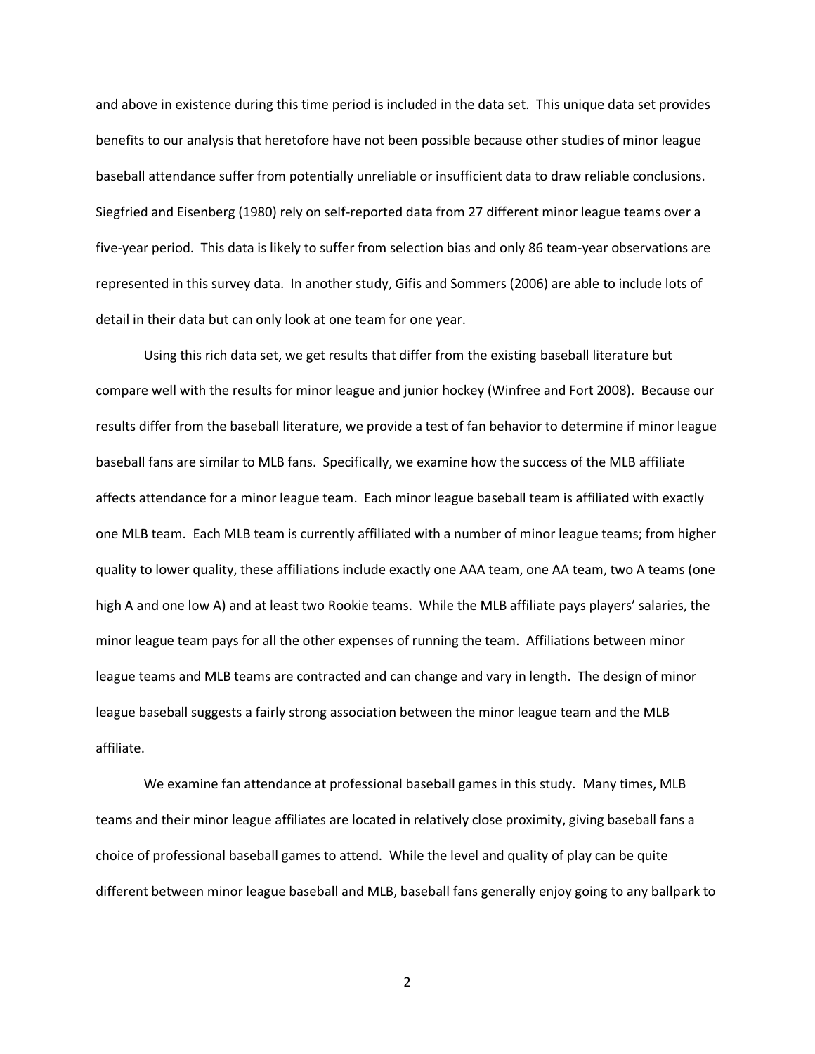and above in existence during this time period is included in the data set. This unique data set provides benefits to our analysis that heretofore have not been possible because other studies of minor league baseball attendance suffer from potentially unreliable or insufficient data to draw reliable conclusions. Siegfried and Eisenberg (1980) rely on self-reported data from 27 different minor league teams over a five-year period. This data is likely to suffer from selection bias and only 86 team-year observations are represented in this survey data. In another study, Gifis and Sommers (2006) are able to include lots of detail in their data but can only look at one team for one year.

Using this rich data set, we get results that differ from the existing baseball literature but compare well with the results for minor league and junior hockey (Winfree and Fort 2008). Because our results differ from the baseball literature, we provide a test of fan behavior to determine if minor league baseball fans are similar to MLB fans. Specifically, we examine how the success of the MLB affiliate affects attendance for a minor league team. Each minor league baseball team is affiliated with exactly one MLB team. Each MLB team is currently affiliated with a number of minor league teams; from higher quality to lower quality, these affiliations include exactly one AAA team, one AA team, two A teams (one high A and one low A) and at least two Rookie teams. While the MLB affiliate pays players' salaries, the minor league team pays for all the other expenses of running the team. Affiliations between minor league teams and MLB teams are contracted and can change and vary in length. The design of minor league baseball suggests a fairly strong association between the minor league team and the MLB affiliate.

We examine fan attendance at professional baseball games in this study. Many times, MLB teams and their minor league affiliates are located in relatively close proximity, giving baseball fans a choice of professional baseball games to attend. While the level and quality of play can be quite different between minor league baseball and MLB, baseball fans generally enjoy going to any ballpark to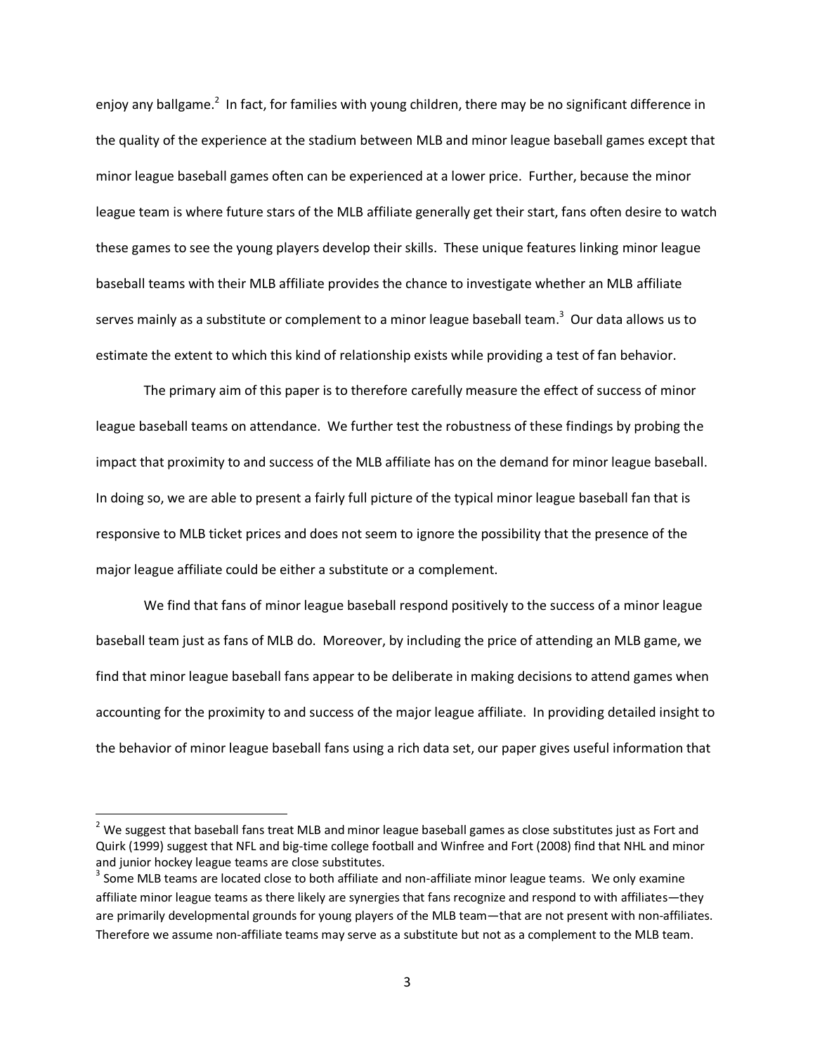enjoy any ballgame.<sup>2</sup> In fact, for families with young children, there may be no significant difference in the quality of the experience at the stadium between MLB and minor league baseball games except that minor league baseball games often can be experienced at a lower price. Further, because the minor league team is where future stars of the MLB affiliate generally get their start, fans often desire to watch these games to see the young players develop their skills. These unique features linking minor league baseball teams with their MLB affiliate provides the chance to investigate whether an MLB affiliate serves mainly as a substitute or complement to a minor league baseball team.<sup>3</sup> Our data allows us to estimate the extent to which this kind of relationship exists while providing a test of fan behavior.

The primary aim of this paper is to therefore carefully measure the effect of success of minor league baseball teams on attendance. We further test the robustness of these findings by probing the impact that proximity to and success of the MLB affiliate has on the demand for minor league baseball. In doing so, we are able to present a fairly full picture of the typical minor league baseball fan that is responsive to MLB ticket prices and does not seem to ignore the possibility that the presence of the major league affiliate could be either a substitute or a complement.

We find that fans of minor league baseball respond positively to the success of a minor league baseball team just as fans of MLB do. Moreover, by including the price of attending an MLB game, we find that minor league baseball fans appear to be deliberate in making decisions to attend games when accounting for the proximity to and success of the major league affiliate. In providing detailed insight to the behavior of minor league baseball fans using a rich data set, our paper gives useful information that

 $\overline{\phantom{a}}$ 

 $2$  We suggest that baseball fans treat MLB and minor league baseball games as close substitutes just as Fort and Quirk (1999) suggest that NFL and big-time college football and Winfree and Fort (2008) find that NHL and minor and junior hockey league teams are close substitutes.

 $^3$  Some MLB teams are located close to both affiliate and non-affiliate minor league teams. We only examine affiliate minor league teams as there likely are synergies that fans recognize and respond to with affiliates—they are primarily developmental grounds for young players of the MLB team—that are not present with non-affiliates. Therefore we assume non-affiliate teams may serve as a substitute but not as a complement to the MLB team.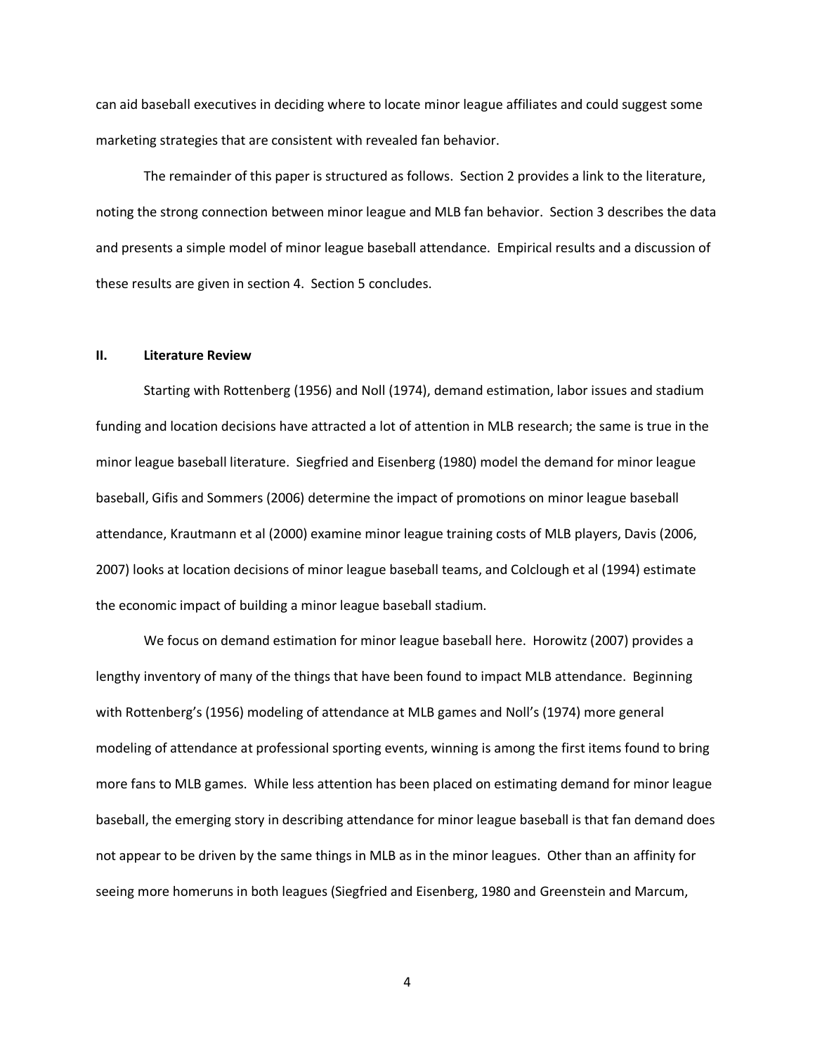can aid baseball executives in deciding where to locate minor league affiliates and could suggest some marketing strategies that are consistent with revealed fan behavior.

The remainder of this paper is structured as follows. Section 2 provides a link to the literature, noting the strong connection between minor league and MLB fan behavior. Section 3 describes the data and presents a simple model of minor league baseball attendance. Empirical results and a discussion of these results are given in section 4. Section 5 concludes.

#### **II. Literature Review**

Starting with Rottenberg (1956) and Noll (1974), demand estimation, labor issues and stadium funding and location decisions have attracted a lot of attention in MLB research; the same is true in the minor league baseball literature. Siegfried and Eisenberg (1980) model the demand for minor league baseball, Gifis and Sommers (2006) determine the impact of promotions on minor league baseball attendance, Krautmann et al (2000) examine minor league training costs of MLB players, Davis (2006, 2007) looks at location decisions of minor league baseball teams, and Colclough et al (1994) estimate the economic impact of building a minor league baseball stadium.

We focus on demand estimation for minor league baseball here. Horowitz (2007) provides a lengthy inventory of many of the things that have been found to impact MLB attendance. Beginning with Rottenberg's (1956) modeling of attendance at MLB games and Noll's (1974) more general modeling of attendance at professional sporting events, winning is among the first items found to bring more fans to MLB games. While less attention has been placed on estimating demand for minor league baseball, the emerging story in describing attendance for minor league baseball is that fan demand does not appear to be driven by the same things in MLB as in the minor leagues. Other than an affinity for seeing more homeruns in both leagues (Siegfried and Eisenberg, 1980 and Greenstein and Marcum,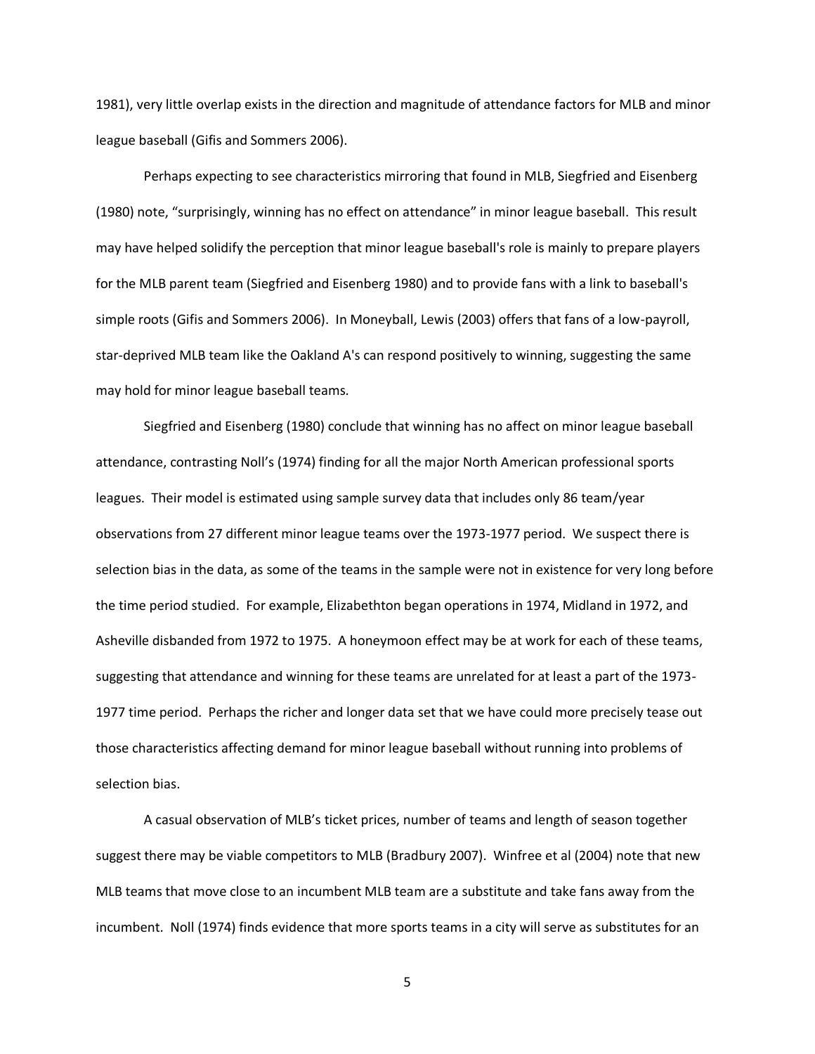1981), very little overlap exists in the direction and magnitude of attendance factors for MLB and minor league baseball (Gifis and Sommers 2006).

Perhaps expecting to see characteristics mirroring that found in MLB, Siegfried and Eisenberg (1980) note, "surprisingly, winning has no effect on attendance" in minor league baseball. This result may have helped solidify the perception that minor league baseball's role is mainly to prepare players for the MLB parent team (Siegfried and Eisenberg 1980) and to provide fans with a link to baseball's simple roots (Gifis and Sommers 2006). In Moneyball, Lewis (2003) offers that fans of a low-payroll, star-deprived MLB team like the Oakland A's can respond positively to winning, suggesting the same may hold for minor league baseball teams.

Siegfried and Eisenberg (1980) conclude that winning has no affect on minor league baseball attendance, contrasting Noll's (1974) finding for all the major North American professional sports leagues. Their model is estimated using sample survey data that includes only 86 team/year observations from 27 different minor league teams over the 1973-1977 period. We suspect there is selection bias in the data, as some of the teams in the sample were not in existence for very long before the time period studied. For example, Elizabethton began operations in 1974, Midland in 1972, and Asheville disbanded from 1972 to 1975. A honeymoon effect may be at work for each of these teams, suggesting that attendance and winning for these teams are unrelated for at least a part of the 1973- 1977 time period. Perhaps the richer and longer data set that we have could more precisely tease out those characteristics affecting demand for minor league baseball without running into problems of selection bias.

A casual observation of MLB's ticket prices, number of teams and length of season together suggest there may be viable competitors to MLB (Bradbury 2007). Winfree et al (2004) note that new MLB teams that move close to an incumbent MLB team are a substitute and take fans away from the incumbent. Noll (1974) finds evidence that more sports teams in a city will serve as substitutes for an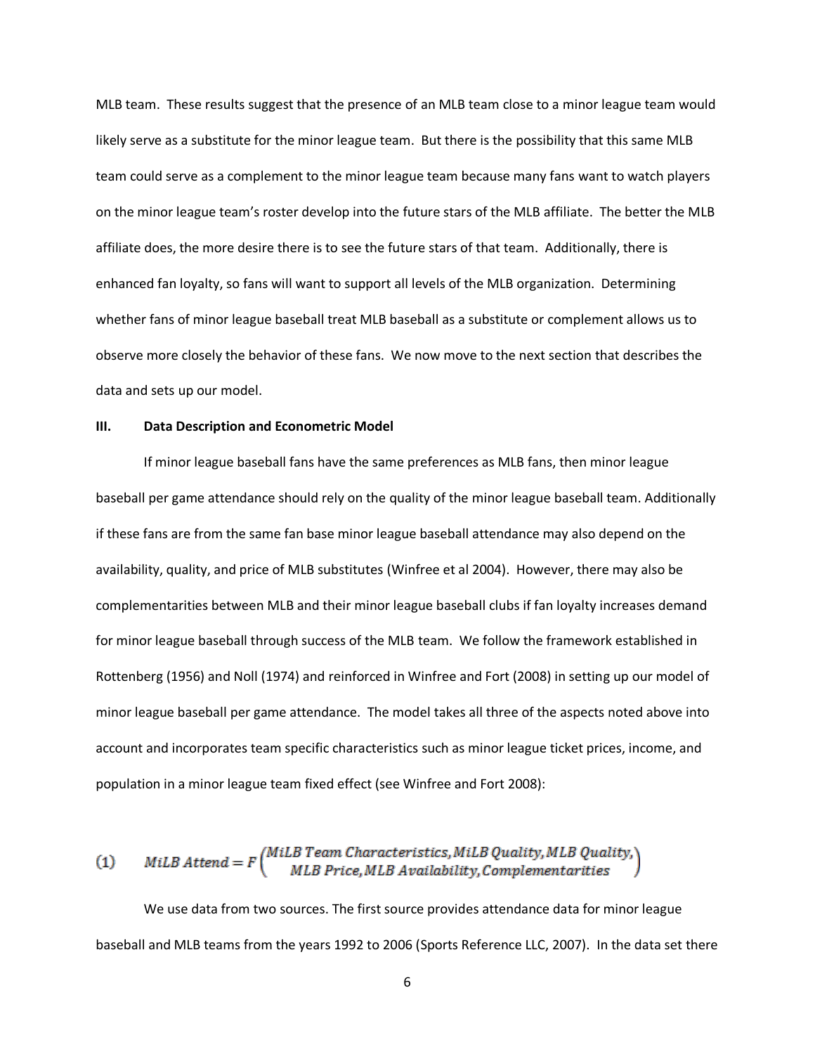MLB team. These results suggest that the presence of an MLB team close to a minor league team would likely serve as a substitute for the minor league team. But there is the possibility that this same MLB team could serve as a complement to the minor league team because many fans want to watch players on the minor league team's roster develop into the future stars of the MLB affiliate. The better the MLB affiliate does, the more desire there is to see the future stars of that team. Additionally, there is enhanced fan loyalty, so fans will want to support all levels of the MLB organization. Determining whether fans of minor league baseball treat MLB baseball as a substitute or complement allows us to observe more closely the behavior of these fans. We now move to the next section that describes the data and sets up our model.

#### **III. Data Description and Econometric Model**

If minor league baseball fans have the same preferences as MLB fans, then minor league baseball per game attendance should rely on the quality of the minor league baseball team. Additionally if these fans are from the same fan base minor league baseball attendance may also depend on the availability, quality, and price of MLB substitutes (Winfree et al 2004). However, there may also be complementarities between MLB and their minor league baseball clubs if fan loyalty increases demand for minor league baseball through success of the MLB team. We follow the framework established in Rottenberg (1956) and Noll (1974) and reinforced in Winfree and Fort (2008) in setting up our model of minor league baseball per game attendance. The model takes all three of the aspects noted above into account and incorporates team specific characteristics such as minor league ticket prices, income, and population in a minor league team fixed effect (see Winfree and Fort 2008):

(1) 
$$
MilB\text{ Attend} = F\begin{pmatrix}MilB\text{ Team Characteristics}, MilB\text{ Quality}, MLB\text{ Quality},\\Mls\text{ Price}, MLB\text{ Availableity},\text{Complementarities}\end{pmatrix}
$$

We use data from two sources. The first source provides attendance data for minor league baseball and MLB teams from the years 1992 to 2006 (Sports Reference LLC, 2007). In the data set there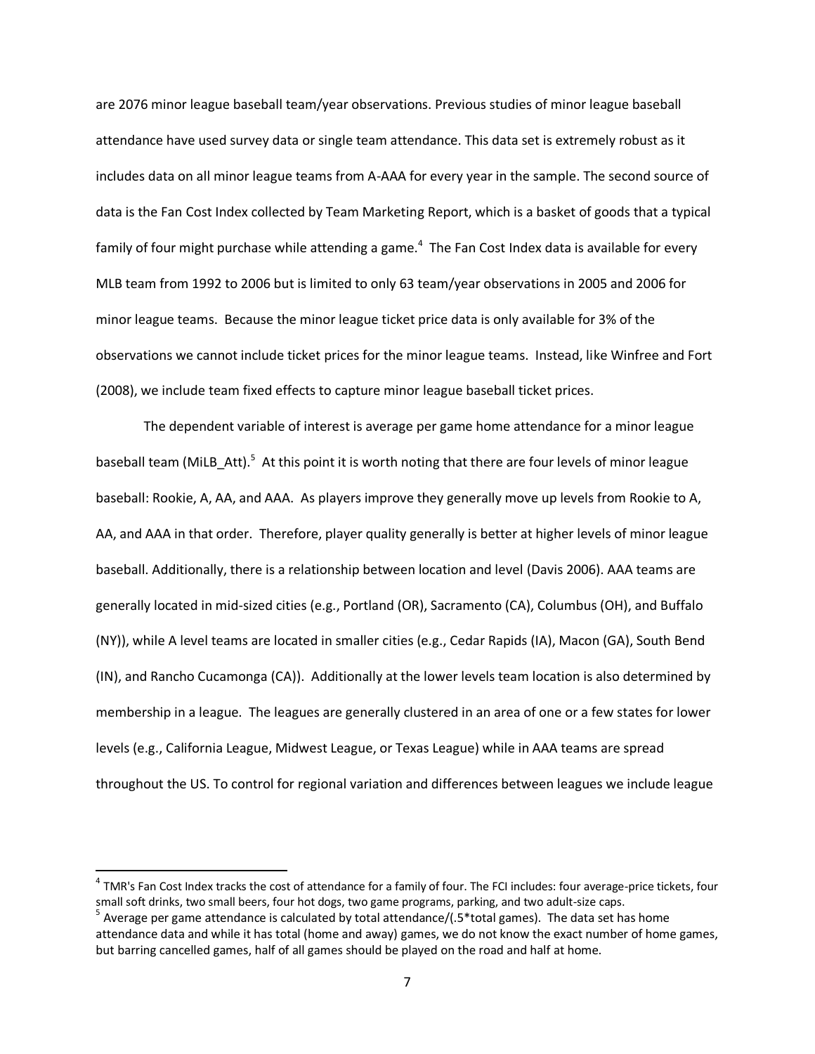are 2076 minor league baseball team/year observations. Previous studies of minor league baseball attendance have used survey data or single team attendance. This data set is extremely robust as it includes data on all minor league teams from A-AAA for every year in the sample. The second source of data is the Fan Cost Index collected by Team Marketing Report, which is a basket of goods that a typical family of four might purchase while attending a game.<sup>4</sup> The Fan Cost Index data is available for every MLB team from 1992 to 2006 but is limited to only 63 team/year observations in 2005 and 2006 for minor league teams. Because the minor league ticket price data is only available for 3% of the observations we cannot include ticket prices for the minor league teams. Instead, like Winfree and Fort (2008), we include team fixed effects to capture minor league baseball ticket prices.

The dependent variable of interest is average per game home attendance for a minor league baseball team (MiLB\_Att).<sup>5</sup> At this point it is worth noting that there are four levels of minor league baseball: Rookie, A, AA, and AAA. As players improve they generally move up levels from Rookie to A, AA, and AAA in that order. Therefore, player quality generally is better at higher levels of minor league baseball. Additionally, there is a relationship between location and level (Davis 2006). AAA teams are generally located in mid-sized cities (e.g., Portland (OR), Sacramento (CA), Columbus (OH), and Buffalo (NY)), while A level teams are located in smaller cities (e.g., Cedar Rapids (IA), Macon (GA), South Bend (IN), and Rancho Cucamonga (CA)). Additionally at the lower levels team location is also determined by membership in a league. The leagues are generally clustered in an area of one or a few states for lower levels (e.g., California League, Midwest League, or Texas League) while in AAA teams are spread throughout the US. To control for regional variation and differences between leagues we include league

 $\overline{a}$ 

<sup>&</sup>lt;sup>4</sup> TMR's Fan Cost Index tracks the cost of attendance for a family of four. The FCI includes: four average-price tickets, four small soft drinks, two small beers, four hot dogs, two game programs, parking, and two adult-size caps.

 $^5$  Average per game attendance is calculated by total attendance/(.5\*total games). The data set has home attendance data and while it has total (home and away) games, we do not know the exact number of home games, but barring cancelled games, half of all games should be played on the road and half at home.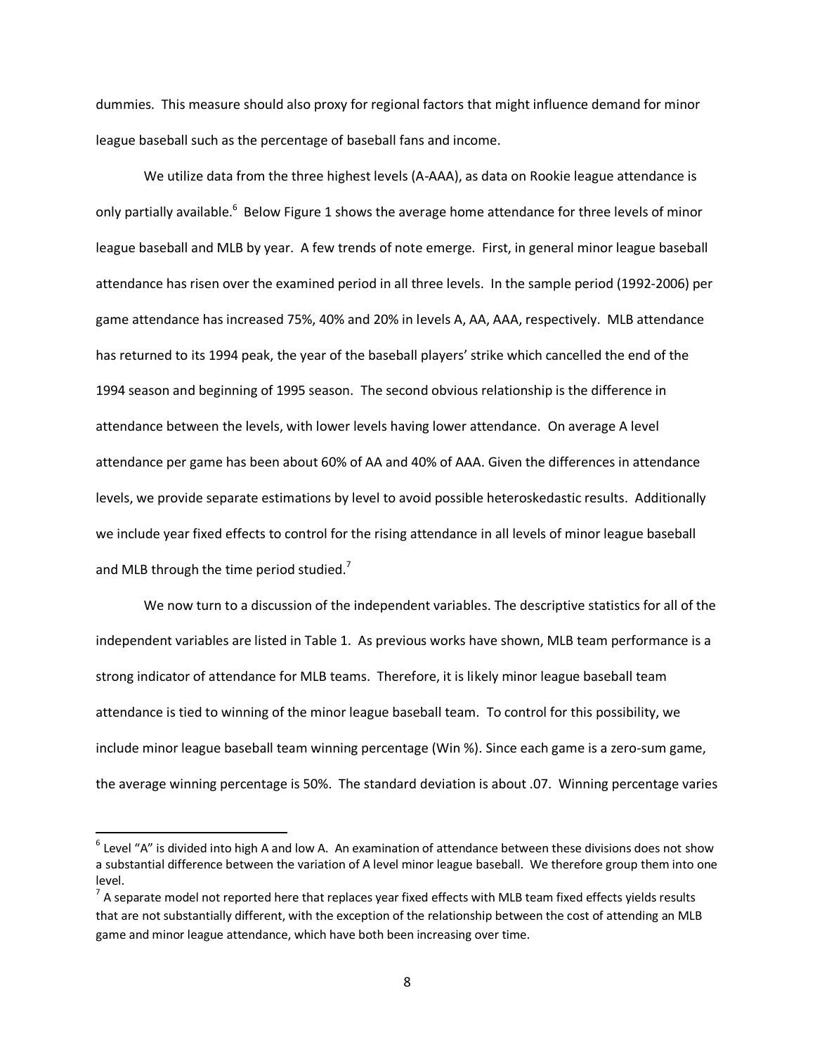dummies. This measure should also proxy for regional factors that might influence demand for minor league baseball such as the percentage of baseball fans and income.

We utilize data from the three highest levels (A-AAA), as data on Rookie league attendance is only partially available.<sup>6</sup> Below Figure 1 shows the average home attendance for three levels of minor league baseball and MLB by year. A few trends of note emerge. First, in general minor league baseball attendance has risen over the examined period in all three levels. In the sample period (1992-2006) per game attendance has increased 75%, 40% and 20% in levels A, AA, AAA, respectively. MLB attendance has returned to its 1994 peak, the year of the baseball players' strike which cancelled the end of the 1994 season and beginning of 1995 season. The second obvious relationship is the difference in attendance between the levels, with lower levels having lower attendance. On average A level attendance per game has been about 60% of AA and 40% of AAA. Given the differences in attendance levels, we provide separate estimations by level to avoid possible heteroskedastic results. Additionally we include year fixed effects to control for the rising attendance in all levels of minor league baseball and MLB through the time period studied.<sup>7</sup>

We now turn to a discussion of the independent variables. The descriptive statistics for all of the independent variables are listed in Table 1. As previous works have shown, MLB team performance is a strong indicator of attendance for MLB teams. Therefore, it is likely minor league baseball team attendance is tied to winning of the minor league baseball team. To control for this possibility, we include minor league baseball team winning percentage (Win %). Since each game is a zero-sum game, the average winning percentage is 50%. The standard deviation is about .07. Winning percentage varies

 $\overline{\phantom{a}}$ 

 $^6$  Level "A" is divided into high A and low A. An examination of attendance between these divisions does not show a substantial difference between the variation of A level minor league baseball. We therefore group them into one level.

 $^7$  A separate model not reported here that replaces year fixed effects with MLB team fixed effects yields results that are not substantially different, with the exception of the relationship between the cost of attending an MLB game and minor league attendance, which have both been increasing over time.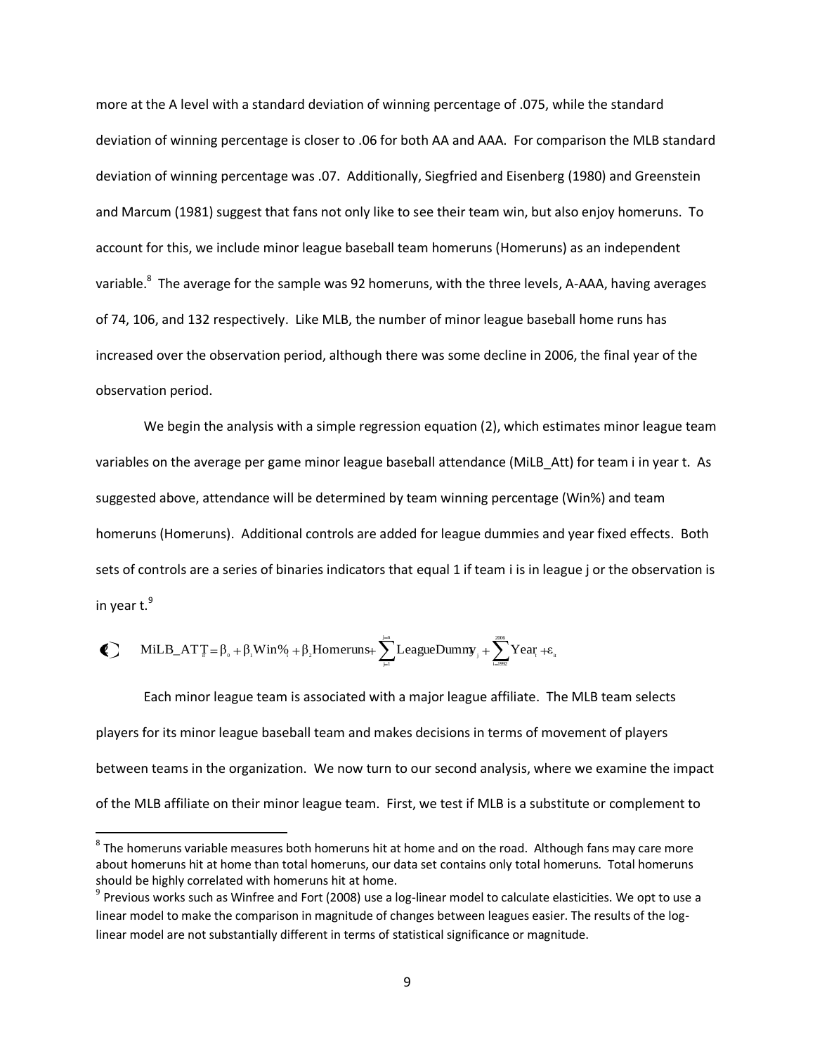more at the A level with a standard deviation of winning percentage of .075, while the standard deviation of winning percentage is closer to .06 for both AA and AAA. For comparison the MLB standard deviation of winning percentage was .07. Additionally, Siegfried and Eisenberg (1980) and Greenstein and Marcum (1981) suggest that fans not only like to see their team win, but also enjoy homeruns. To account for this, we include minor league baseball team homeruns (Homeruns) as an independent variable.<sup>8</sup> The average for the sample was 92 homeruns, with the three levels, A-AAA, having averages of 74, 106, and 132 respectively. Like MLB, the number of minor league baseball home runs has increased over the observation period, although there was some decline in 2006, the final year of the observation period.

We begin the analysis with a simple regression equation (2), which estimates minor league team variables on the average per game minor league baseball attendance (MiLB\_Att) for team i in year t. As suggested above, attendance will be determined by team winning percentage (Win%) and team homeruns (Homeruns). Additional controls are added for league dummies and year fixed effects. Both sets of controls are a series of binaries indicators that equal 1 if team i is in league j or the observation is in year  $t.^9$ 

$$
\bullet \quad \text{Milb\_ATT} = \beta_{0} + \beta_{1} \text{Win\%} + \beta_{2} \text{Homerunst} + \sum_{j=1}^{j=n} \text{LeagueDummy}_{j} + \sum_{i=192}^{3000} \text{Year} + \varepsilon_{ii}
$$

 $\overline{\phantom{a}}$ 

Each minor league team is associated with a major league affiliate. The MLB team selects players for its minor league baseball team and makes decisions in terms of movement of players between teams in the organization. We now turn to our second analysis, where we examine the impact of the MLB affiliate on their minor league team. First, we test if MLB is a substitute or complement to

 $^8$  The homeruns variable measures both homeruns hit at home and on the road. Although fans may care more about homeruns hit at home than total homeruns, our data set contains only total homeruns. Total homeruns should be highly correlated with homeruns hit at home.

 $^9$  Previous works such as Winfree and Fort (2008) use a log-linear model to calculate elasticities. We opt to use a linear model to make the comparison in magnitude of changes between leagues easier. The results of the loglinear model are not substantially different in terms of statistical significance or magnitude.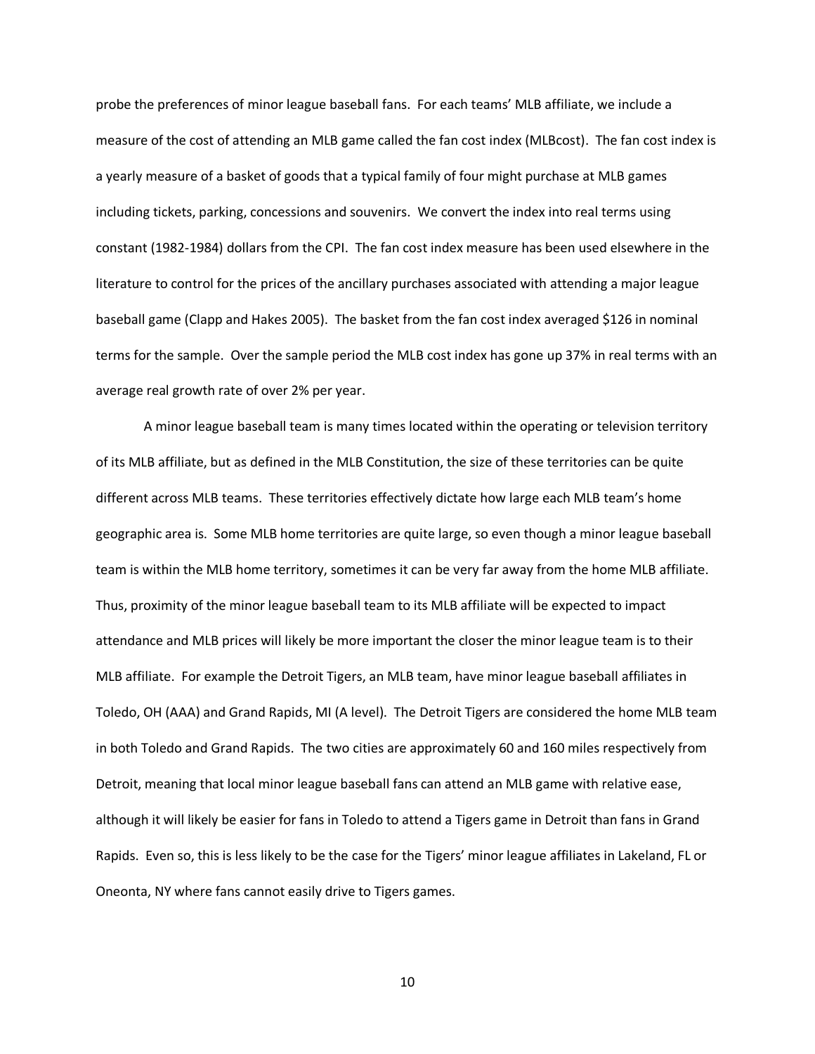probe the preferences of minor league baseball fans. For each teams' MLB affiliate, we include a measure of the cost of attending an MLB game called the fan cost index (MLBcost). The fan cost index is a yearly measure of a basket of goods that a typical family of four might purchase at MLB games including tickets, parking, concessions and souvenirs. We convert the index into real terms using constant (1982-1984) dollars from the CPI. The fan cost index measure has been used elsewhere in the literature to control for the prices of the ancillary purchases associated with attending a major league baseball game (Clapp and Hakes 2005). The basket from the fan cost index averaged \$126 in nominal terms for the sample. Over the sample period the MLB cost index has gone up 37% in real terms with an average real growth rate of over 2% per year.

A minor league baseball team is many times located within the operating or television territory of its MLB affiliate, but as defined in the MLB Constitution, the size of these territories can be quite different across MLB teams. These territories effectively dictate how large each MLB team's home geographic area is. Some MLB home territories are quite large, so even though a minor league baseball team is within the MLB home territory, sometimes it can be very far away from the home MLB affiliate. Thus, proximity of the minor league baseball team to its MLB affiliate will be expected to impact attendance and MLB prices will likely be more important the closer the minor league team is to their MLB affiliate. For example the Detroit Tigers, an MLB team, have minor league baseball affiliates in Toledo, OH (AAA) and Grand Rapids, MI (A level). The Detroit Tigers are considered the home MLB team in both Toledo and Grand Rapids. The two cities are approximately 60 and 160 miles respectively from Detroit, meaning that local minor league baseball fans can attend an MLB game with relative ease, although it will likely be easier for fans in Toledo to attend a Tigers game in Detroit than fans in Grand Rapids. Even so, this is less likely to be the case for the Tigers' minor league affiliates in Lakeland, FL or Oneonta, NY where fans cannot easily drive to Tigers games.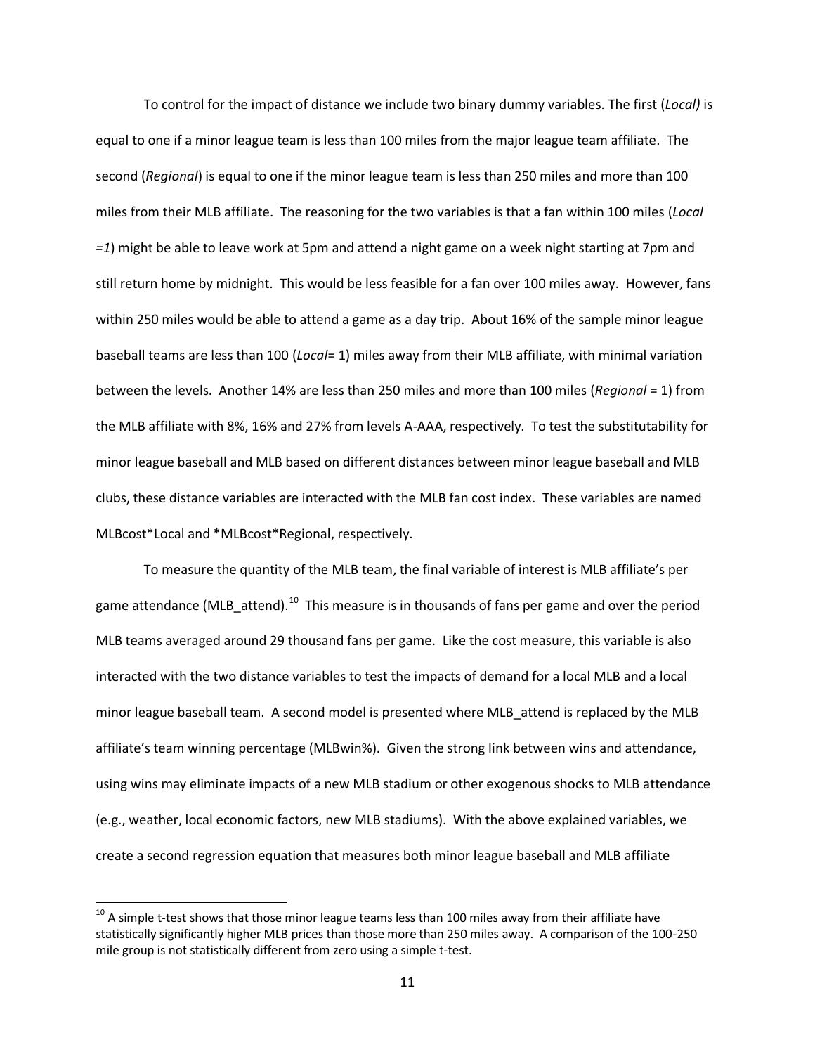To control for the impact of distance we include two binary dummy variables. The first (*Local)* is equal to one if a minor league team is less than 100 miles from the major league team affiliate. The second (*Regional*) is equal to one if the minor league team is less than 250 miles and more than 100 miles from their MLB affiliate. The reasoning for the two variables is that a fan within 100 miles (*Local =1*) might be able to leave work at 5pm and attend a night game on a week night starting at 7pm and still return home by midnight. This would be less feasible for a fan over 100 miles away. However, fans within 250 miles would be able to attend a game as a day trip. About 16% of the sample minor league baseball teams are less than 100 (*Local*= 1) miles away from their MLB affiliate, with minimal variation between the levels. Another 14% are less than 250 miles and more than 100 miles (*Regional* = 1) from the MLB affiliate with 8%, 16% and 27% from levels A-AAA, respectively. To test the substitutability for minor league baseball and MLB based on different distances between minor league baseball and MLB clubs, these distance variables are interacted with the MLB fan cost index. These variables are named MLBcost\*Local and \*MLBcost\*Regional, respectively.

To measure the quantity of the MLB team, the final variable of interest is MLB affiliate's per game attendance (MLB\_attend).<sup>10</sup> This measure is in thousands of fans per game and over the period MLB teams averaged around 29 thousand fans per game. Like the cost measure, this variable is also interacted with the two distance variables to test the impacts of demand for a local MLB and a local minor league baseball team. A second model is presented where MLB\_attend is replaced by the MLB affiliate's team winning percentage (MLBwin%). Given the strong link between wins and attendance, using wins may eliminate impacts of a new MLB stadium or other exogenous shocks to MLB attendance (e.g., weather, local economic factors, new MLB stadiums). With the above explained variables, we create a second regression equation that measures both minor league baseball and MLB affiliate

 $\overline{\phantom{a}}$ 

 $10$  A simple t-test shows that those minor league teams less than 100 miles away from their affiliate have statistically significantly higher MLB prices than those more than 250 miles away. A comparison of the 100-250 mile group is not statistically different from zero using a simple t-test.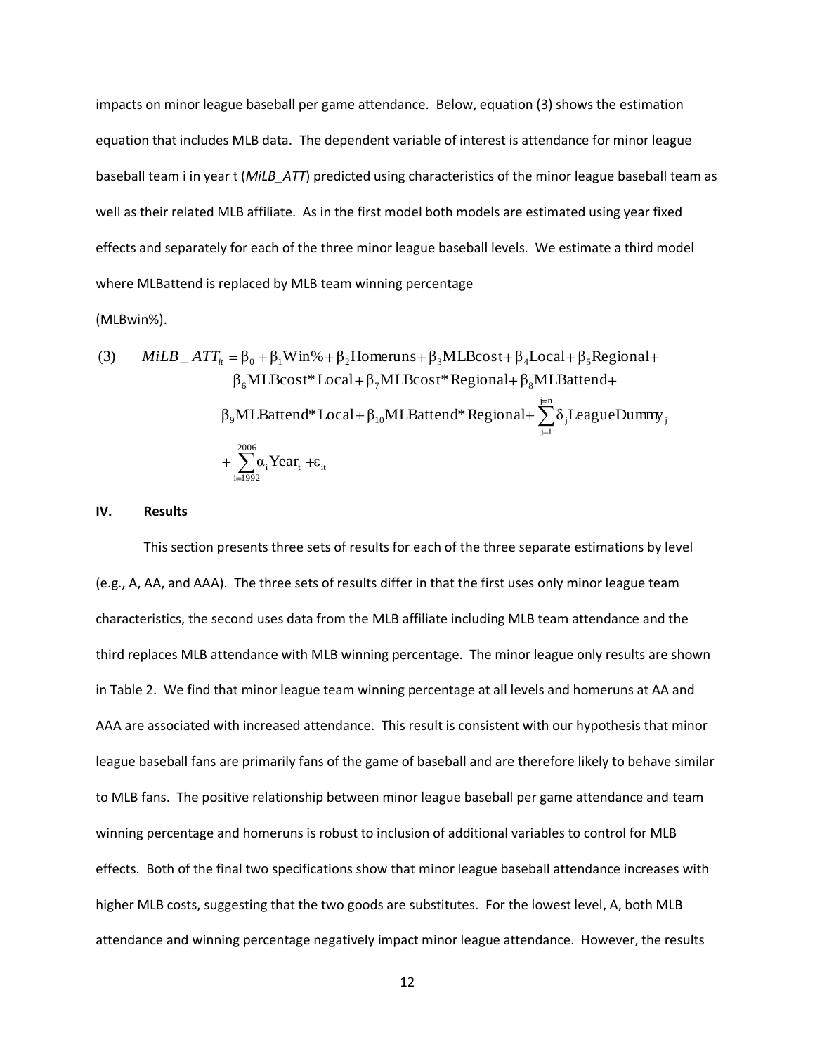impacts on minor league baseball per game attendance. Below, equation (3) shows the estimation equation that includes MLB data. The dependent variable of interest is attendance for minor league baseball team i in year t (*MiLB\_ATT*) predicted using characteristics of the minor league baseball team as well as their related MLB affiliate. As in the first model both models are estimated using year fixed effects and separately for each of the three minor league baseball levels. We estimate a third model where MLBattend is replaced by MLB team winning percentage

#### (MLBwin%).

(3) 
$$
MilB\_ATT_{it} = \beta_0 + \beta_1 Win\% + \beta_2 Homeruns + \beta_3 MLBcost + \beta_4 Local + \beta_5 Regional + \beta_6 MLBcost * Local + \beta_7 MLBcost * Regional + \beta_8 MLBattend + Local + \beta_{10} MLBattend * Regional + \sum_{i=1}^{2006} \alpha_i Year_t + \epsilon_{it}
$$

#### **IV. Results**

This section presents three sets of results for each of the three separate estimations by level (e.g., A, AA, and AAA). The three sets of results differ in that the first uses only minor league team characteristics, the second uses data from the MLB affiliate including MLB team attendance and the third replaces MLB attendance with MLB winning percentage. The minor league only results are shown in Table 2. We find that minor league team winning percentage at all levels and homeruns at AA and AAA are associated with increased attendance. This result is consistent with our hypothesis that minor league baseball fans are primarily fans of the game of baseball and are therefore likely to behave similar to MLB fans. The positive relationship between minor league baseball per game attendance and team winning percentage and homeruns is robust to inclusion of additional variables to control for MLB effects. Both of the final two specifications show that minor league baseball attendance increases with higher MLB costs, suggesting that the two goods are substitutes. For the lowest level, A, both MLB attendance and winning percentage negatively impact minor league attendance. However, the results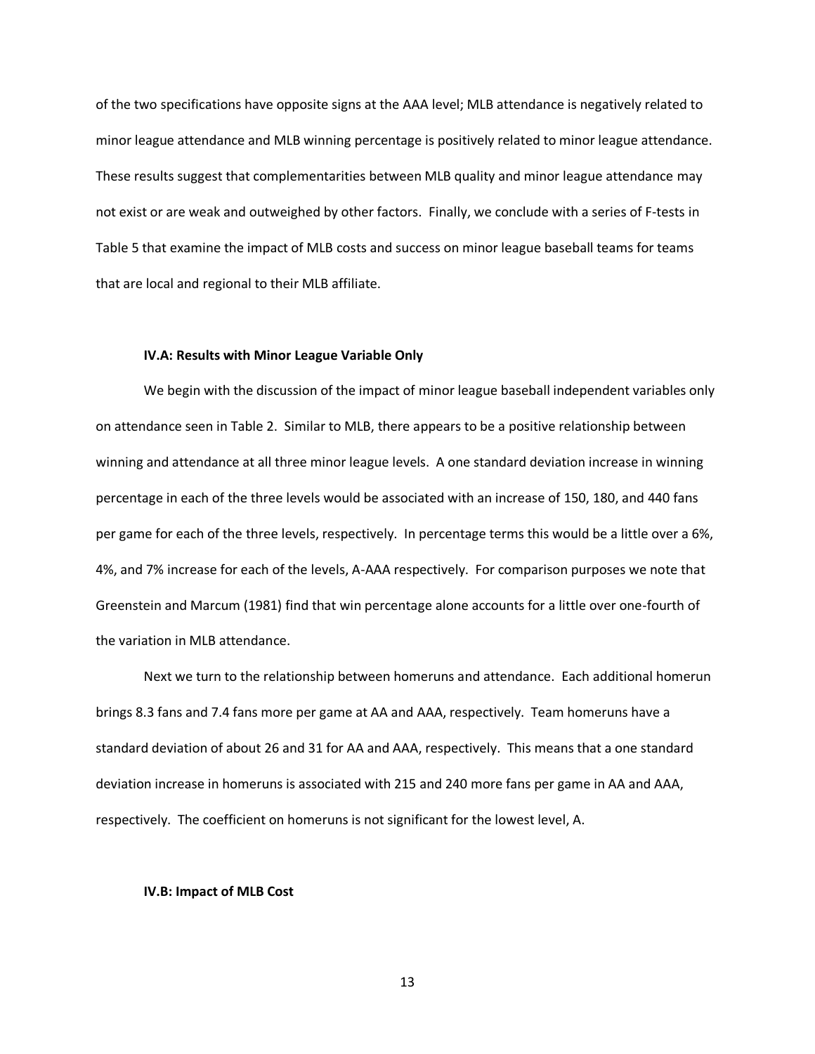of the two specifications have opposite signs at the AAA level; MLB attendance is negatively related to minor league attendance and MLB winning percentage is positively related to minor league attendance. These results suggest that complementarities between MLB quality and minor league attendance may not exist or are weak and outweighed by other factors. Finally, we conclude with a series of F-tests in Table 5 that examine the impact of MLB costs and success on minor league baseball teams for teams that are local and regional to their MLB affiliate.

#### **IV.A: Results with Minor League Variable Only**

We begin with the discussion of the impact of minor league baseball independent variables only on attendance seen in Table 2. Similar to MLB, there appears to be a positive relationship between winning and attendance at all three minor league levels. A one standard deviation increase in winning percentage in each of the three levels would be associated with an increase of 150, 180, and 440 fans per game for each of the three levels, respectively. In percentage terms this would be a little over a 6%, 4%, and 7% increase for each of the levels, A-AAA respectively. For comparison purposes we note that Greenstein and Marcum (1981) find that win percentage alone accounts for a little over one-fourth of the variation in MLB attendance.

Next we turn to the relationship between homeruns and attendance. Each additional homerun brings 8.3 fans and 7.4 fans more per game at AA and AAA, respectively. Team homeruns have a standard deviation of about 26 and 31 for AA and AAA, respectively. This means that a one standard deviation increase in homeruns is associated with 215 and 240 more fans per game in AA and AAA, respectively. The coefficient on homeruns is not significant for the lowest level, A.

#### **IV.B: Impact of MLB Cost**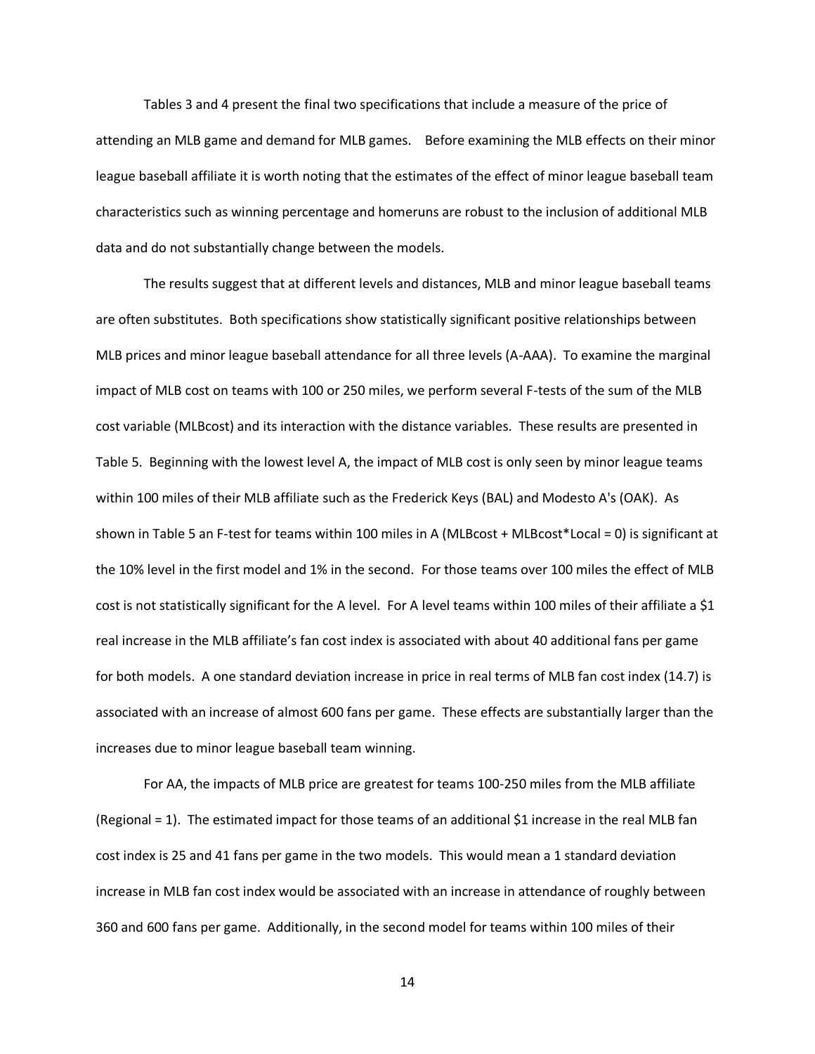Tables 3 and 4 present the final two specifications that include a measure of the price of attending an MLB game and demand for MLB games. Before examining the MLB effects on their minor league baseball affiliate it is worth noting that the estimates of the effect of minor league baseball team characteristics such as winning percentage and homeruns are robust to the inclusion of additional MLB data and do not substantially change between the models.

The results suggest that at different levels and distances, MLB and minor league baseball teams are often substitutes. Both specifications show statistically significant positive relationships between MLB prices and minor league baseball attendance for all three levels (A-AAA). To examine the marginal impact of MLB cost on teams with 100 or 250 miles, we perform several F-tests of the sum of the MLB cost variable (MLBcost) and its interaction with the distance variables. These results are presented in Table 5. Beginning with the lowest level A, the impact of MLB cost is only seen by minor league teams within 100 miles of their MLB affiliate such as the Frederick Keys (BAL) and Modesto A's (OAK). As shown in Table 5 an F-test for teams within 100 miles in A (MLBcost + MLBcost\*Local = 0) is significant at the 10% level in the first model and 1% in the second. For those teams over 100 miles the effect of MLB cost is not statistically significant for the A level. For A level teams within 100 miles of their affiliate a \$1 real increase in the MLB affiliate's fan cost index is associated with about 40 additional fans per game for both models. A one standard deviation increase in price in real terms of MLB fan cost index (14.7) is associated with an increase of almost 600 fans per game. These effects are substantially larger than the increases due to minor league baseball team winning.

For AA, the impacts of MLB price are greatest for teams 100-250 miles from the MLB affiliate (Regional = 1). The estimated impact for those teams of an additional \$1 increase in the real MLB fan cost index is 25 and 41 fans per game in the two models. This would mean a 1 standard deviation increase in MLB fan cost index would be associated with an increase in attendance of roughly between 360 and 600 fans per game. Additionally, in the second model for teams within 100 miles of their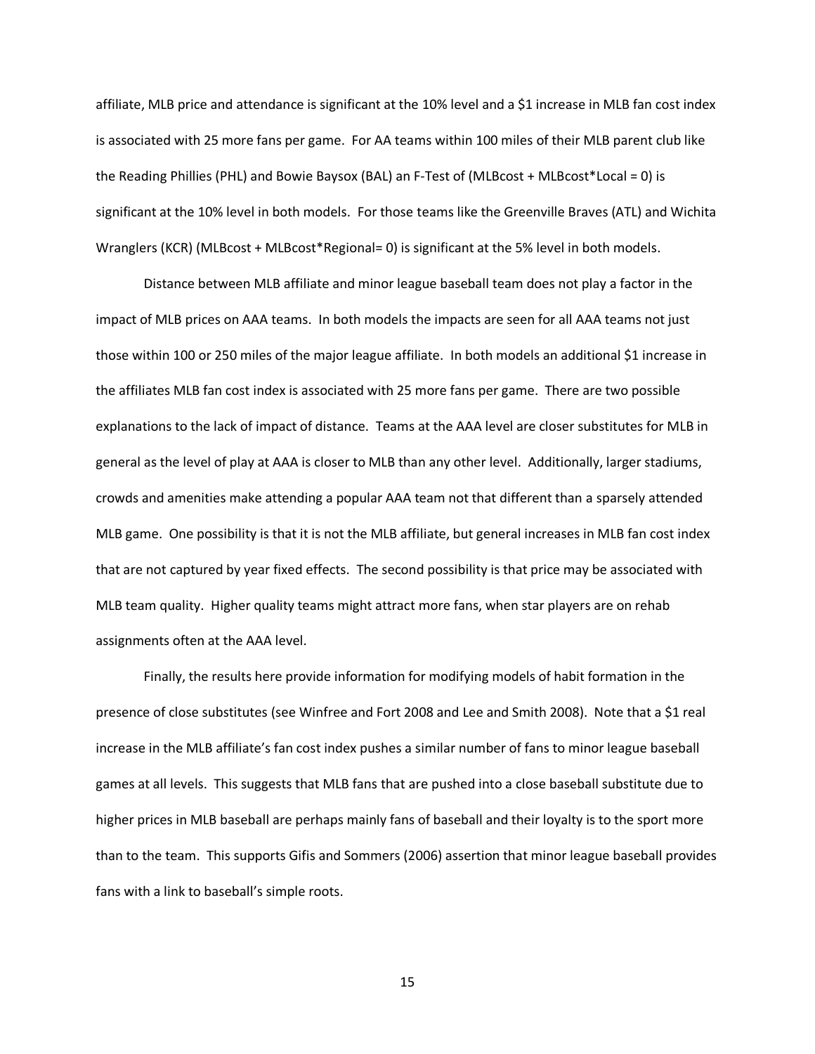affiliate, MLB price and attendance is significant at the 10% level and a \$1 increase in MLB fan cost index is associated with 25 more fans per game. For AA teams within 100 miles of their MLB parent club like the Reading Phillies (PHL) and Bowie Baysox (BAL) an F-Test of (MLBcost + MLBcost\*Local = 0) is significant at the 10% level in both models. For those teams like the Greenville Braves (ATL) and Wichita Wranglers (KCR) (MLBcost + MLBcost\*Regional= 0) is significant at the 5% level in both models.

Distance between MLB affiliate and minor league baseball team does not play a factor in the impact of MLB prices on AAA teams. In both models the impacts are seen for all AAA teams not just those within 100 or 250 miles of the major league affiliate. In both models an additional \$1 increase in the affiliates MLB fan cost index is associated with 25 more fans per game. There are two possible explanations to the lack of impact of distance. Teams at the AAA level are closer substitutes for MLB in general as the level of play at AAA is closer to MLB than any other level. Additionally, larger stadiums, crowds and amenities make attending a popular AAA team not that different than a sparsely attended MLB game. One possibility is that it is not the MLB affiliate, but general increases in MLB fan cost index that are not captured by year fixed effects. The second possibility is that price may be associated with MLB team quality. Higher quality teams might attract more fans, when star players are on rehab assignments often at the AAA level.

Finally, the results here provide information for modifying models of habit formation in the presence of close substitutes (see Winfree and Fort 2008 and Lee and Smith 2008). Note that a \$1 real increase in the MLB affiliate's fan cost index pushes a similar number of fans to minor league baseball games at all levels. This suggests that MLB fans that are pushed into a close baseball substitute due to higher prices in MLB baseball are perhaps mainly fans of baseball and their loyalty is to the sport more than to the team. This supports Gifis and Sommers (2006) assertion that minor league baseball provides fans with a link to baseball's simple roots.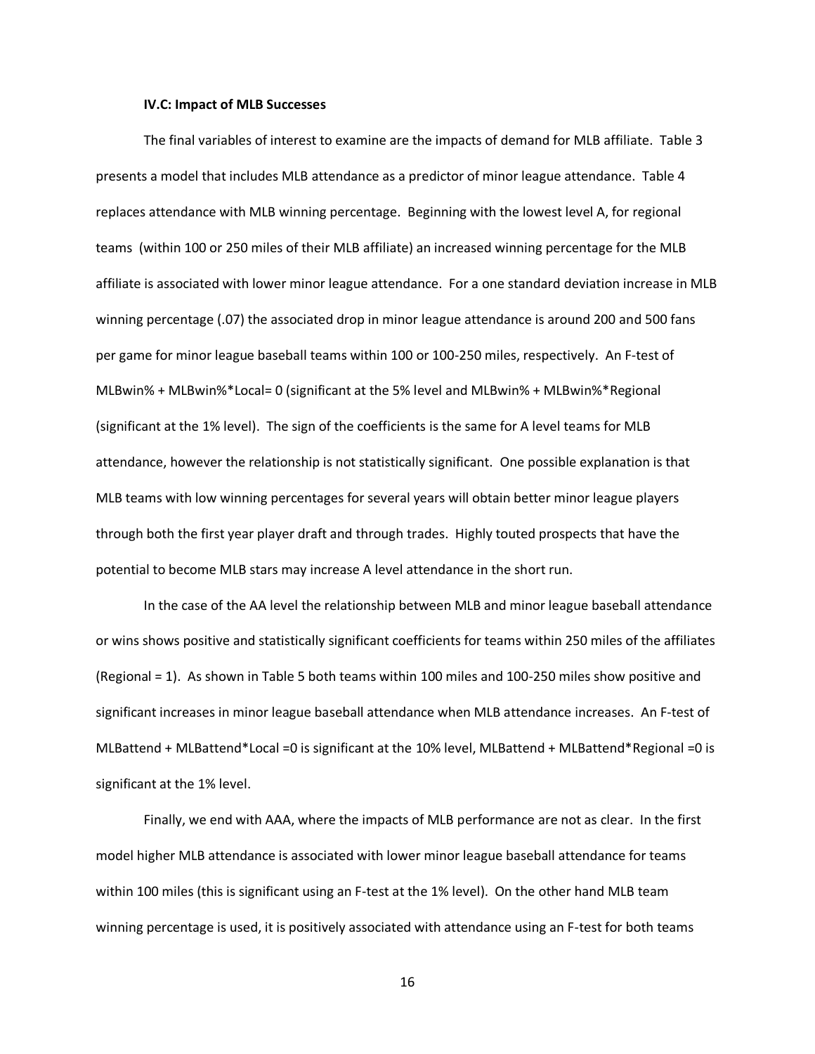#### **IV.C: Impact of MLB Successes**

The final variables of interest to examine are the impacts of demand for MLB affiliate. Table 3 presents a model that includes MLB attendance as a predictor of minor league attendance. Table 4 replaces attendance with MLB winning percentage. Beginning with the lowest level A, for regional teams (within 100 or 250 miles of their MLB affiliate) an increased winning percentage for the MLB affiliate is associated with lower minor league attendance. For a one standard deviation increase in MLB winning percentage (.07) the associated drop in minor league attendance is around 200 and 500 fans per game for minor league baseball teams within 100 or 100-250 miles, respectively. An F-test of MLBwin% + MLBwin%\*Local= 0 (significant at the 5% level and MLBwin% + MLBwin%\*Regional (significant at the 1% level). The sign of the coefficients is the same for A level teams for MLB attendance, however the relationship is not statistically significant. One possible explanation is that MLB teams with low winning percentages for several years will obtain better minor league players through both the first year player draft and through trades. Highly touted prospects that have the potential to become MLB stars may increase A level attendance in the short run.

In the case of the AA level the relationship between MLB and minor league baseball attendance or wins shows positive and statistically significant coefficients for teams within 250 miles of the affiliates (Regional = 1). As shown in Table 5 both teams within 100 miles and 100-250 miles show positive and significant increases in minor league baseball attendance when MLB attendance increases. An F-test of MLBattend + MLBattend\*Local =0 is significant at the 10% level, MLBattend + MLBattend\*Regional =0 is significant at the 1% level.

Finally, we end with AAA, where the impacts of MLB performance are not as clear. In the first model higher MLB attendance is associated with lower minor league baseball attendance for teams within 100 miles (this is significant using an F-test at the 1% level). On the other hand MLB team winning percentage is used, it is positively associated with attendance using an F-test for both teams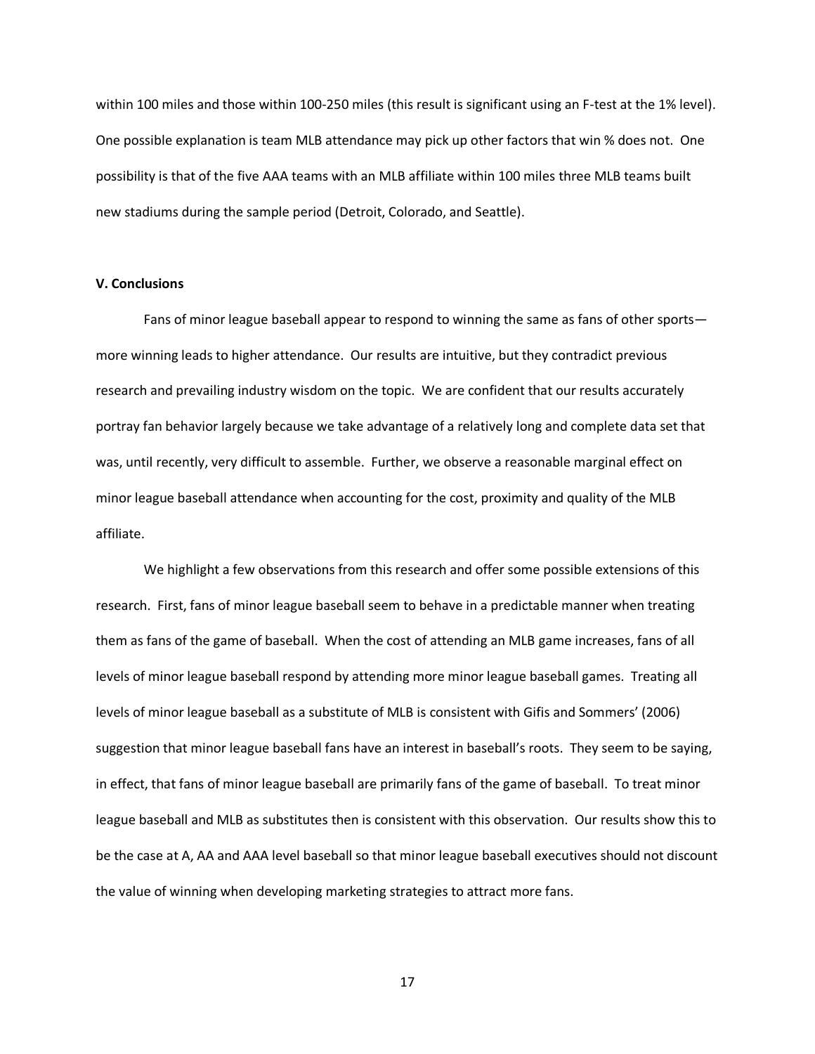within 100 miles and those within 100-250 miles (this result is significant using an F-test at the 1% level). One possible explanation is team MLB attendance may pick up other factors that win % does not. One possibility is that of the five AAA teams with an MLB affiliate within 100 miles three MLB teams built new stadiums during the sample period (Detroit, Colorado, and Seattle).

#### **V. Conclusions**

Fans of minor league baseball appear to respond to winning the same as fans of other sports more winning leads to higher attendance. Our results are intuitive, but they contradict previous research and prevailing industry wisdom on the topic. We are confident that our results accurately portray fan behavior largely because we take advantage of a relatively long and complete data set that was, until recently, very difficult to assemble. Further, we observe a reasonable marginal effect on minor league baseball attendance when accounting for the cost, proximity and quality of the MLB affiliate.

We highlight a few observations from this research and offer some possible extensions of this research. First, fans of minor league baseball seem to behave in a predictable manner when treating them as fans of the game of baseball. When the cost of attending an MLB game increases, fans of all levels of minor league baseball respond by attending more minor league baseball games. Treating all levels of minor league baseball as a substitute of MLB is consistent with Gifis and Sommers' (2006) suggestion that minor league baseball fans have an interest in baseball's roots. They seem to be saying, in effect, that fans of minor league baseball are primarily fans of the game of baseball. To treat minor league baseball and MLB as substitutes then is consistent with this observation. Our results show this to be the case at A, AA and AAA level baseball so that minor league baseball executives should not discount the value of winning when developing marketing strategies to attract more fans.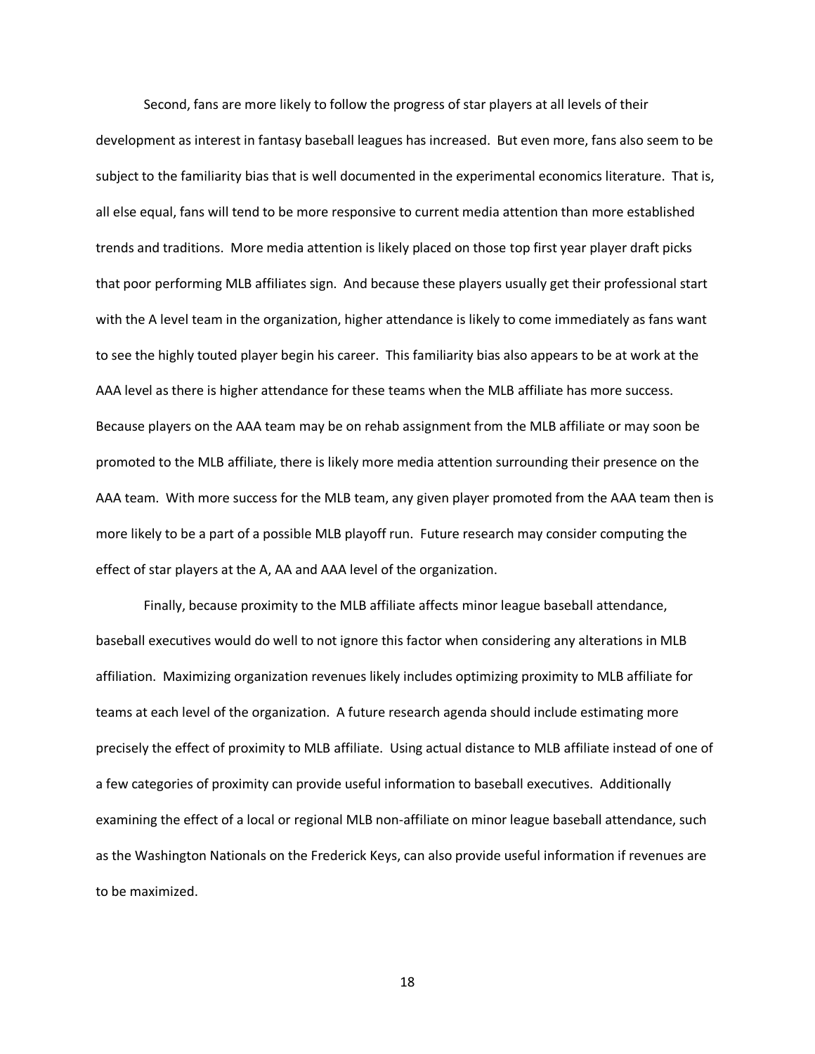Second, fans are more likely to follow the progress of star players at all levels of their development as interest in fantasy baseball leagues has increased. But even more, fans also seem to be subject to the familiarity bias that is well documented in the experimental economics literature. That is, all else equal, fans will tend to be more responsive to current media attention than more established trends and traditions. More media attention is likely placed on those top first year player draft picks that poor performing MLB affiliates sign. And because these players usually get their professional start with the A level team in the organization, higher attendance is likely to come immediately as fans want to see the highly touted player begin his career. This familiarity bias also appears to be at work at the AAA level as there is higher attendance for these teams when the MLB affiliate has more success. Because players on the AAA team may be on rehab assignment from the MLB affiliate or may soon be promoted to the MLB affiliate, there is likely more media attention surrounding their presence on the AAA team. With more success for the MLB team, any given player promoted from the AAA team then is more likely to be a part of a possible MLB playoff run. Future research may consider computing the effect of star players at the A, AA and AAA level of the organization.

Finally, because proximity to the MLB affiliate affects minor league baseball attendance, baseball executives would do well to not ignore this factor when considering any alterations in MLB affiliation. Maximizing organization revenues likely includes optimizing proximity to MLB affiliate for teams at each level of the organization. A future research agenda should include estimating more precisely the effect of proximity to MLB affiliate. Using actual distance to MLB affiliate instead of one of a few categories of proximity can provide useful information to baseball executives. Additionally examining the effect of a local or regional MLB non-affiliate on minor league baseball attendance, such as the Washington Nationals on the Frederick Keys, can also provide useful information if revenues are to be maximized.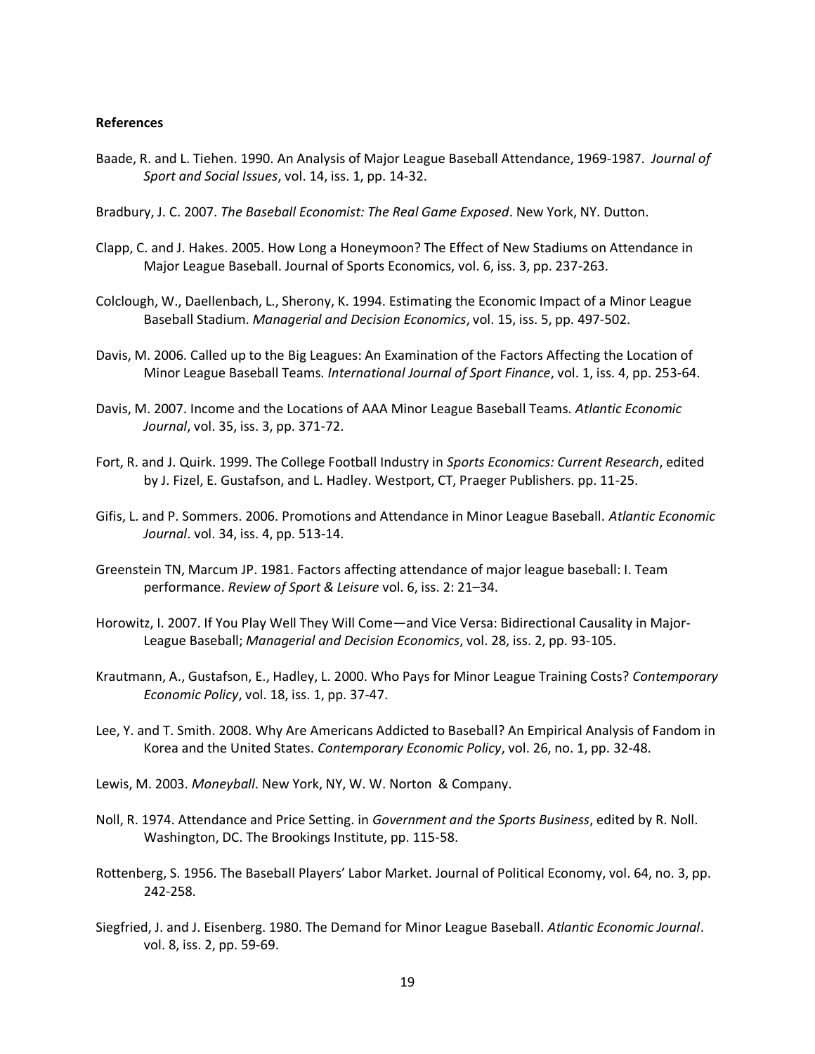#### **References**

- Baade, R. and L. Tiehen. 1990. An Analysis of Major League Baseball Attendance, 1969-1987. *Journal of Sport and Social Issues*, vol. 14, iss. 1, pp. 14-32.
- Bradbury, J. C. 2007. *The Baseball Economist: The Real Game Exposed*. New York, NY. Dutton.
- Clapp, C. and J. Hakes. 2005. How Long a Honeymoon? The Effect of New Stadiums on Attendance in Major League Baseball. Journal of Sports Economics, vol. 6, iss. 3, pp. 237-263.
- Colclough, W., Daellenbach, L., Sherony, K. 1994. Estimating the Economic Impact of a Minor League Baseball Stadium. *Managerial and Decision Economics*, vol. 15, iss. 5, pp. 497-502.
- Davis, M. 2006. Called up to the Big Leagues: An Examination of the Factors Affecting the Location of Minor League Baseball Teams. *International Journal of Sport Finance*, vol. 1, iss. 4, pp. 253-64.
- Davis, M. 2007. Income and the Locations of AAA Minor League Baseball Teams. *Atlantic Economic Journal*, vol. 35, iss. 3, pp. 371-72.
- Fort, R. and J. Quirk. 1999. The College Football Industry in *Sports Economics: Current Research*, edited by J. Fizel, E. Gustafson, and L. Hadley. Westport, CT, Praeger Publishers. pp. 11-25.
- Gifis, L. and P. Sommers. 2006. Promotions and Attendance in Minor League Baseball. *Atlantic Economic Journal*. vol. 34, iss. 4, pp. 513-14.
- Greenstein TN, Marcum JP. 1981. Factors affecting attendance of major league baseball: I. Team performance. *Review of Sport & Leisure* vol. 6, iss. 2: 21–34.
- Horowitz, I. 2007. If You Play Well They Will Come—and Vice Versa: Bidirectional Causality in Major-League Baseball; *Managerial and Decision Economics*, vol. 28, iss. 2, pp. 93-105.
- Krautmann, A., Gustafson, E., Hadley, L. 2000. Who Pays for Minor League Training Costs? *Contemporary Economic Policy*, vol. 18, iss. 1, pp. 37-47.
- Lee, Y. and T. Smith. 2008. Why Are Americans Addicted to Baseball? An Empirical Analysis of Fandom in Korea and the United States. *Contemporary Economic Policy*, vol. 26, no. 1, pp. 32-48.
- Lewis, M. 2003. *Moneyball*. New York, NY, W. W. Norton & Company.
- Noll, R. 1974. Attendance and Price Setting. in *Government and the Sports Business*, edited by R. Noll. Washington, DC. The Brookings Institute, pp. 115-58.
- Rottenberg, S. 1956. The Baseball Players' Labor Market. Journal of Political Economy, vol. 64, no. 3, pp. 242-258.
- Siegfried, J. and J. Eisenberg. 1980. The Demand for Minor League Baseball. *Atlantic Economic Journal*. vol. 8, iss. 2, pp. 59-69.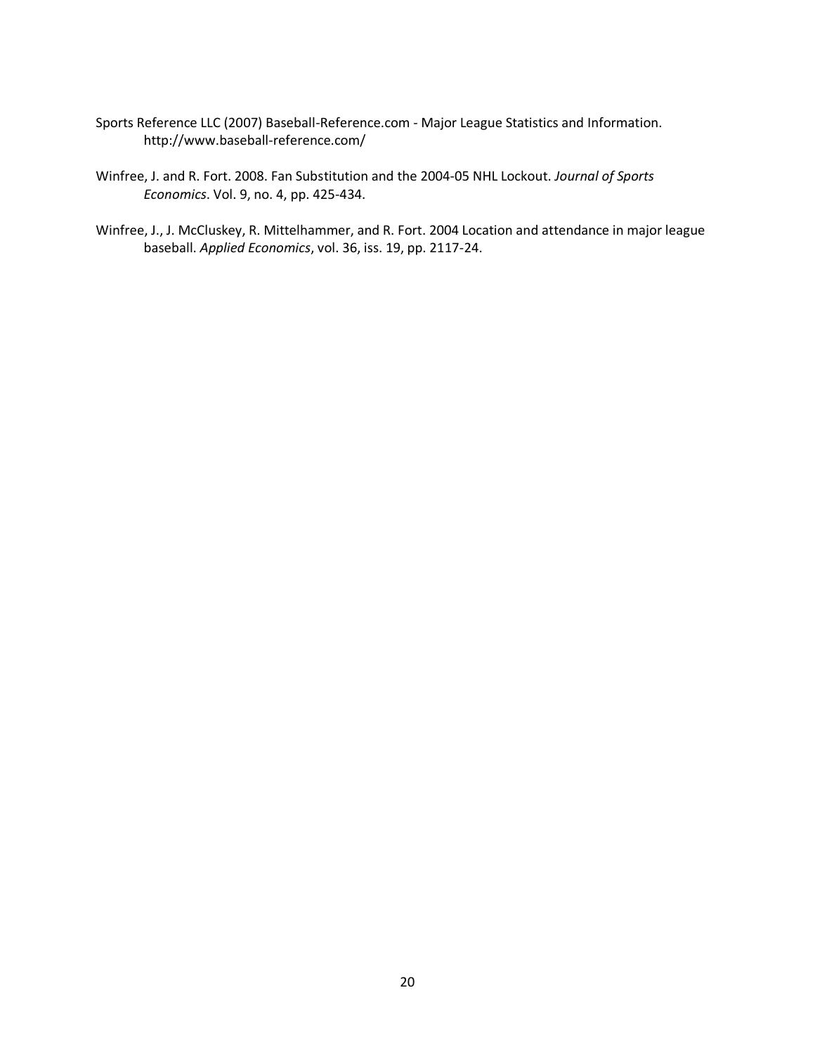- Sports Reference LLC (2007) Baseball-Reference.com Major League Statistics and Information. http://www.baseball-reference.com/
- Winfree, J. and R. Fort. 2008. Fan Substitution and the 2004-05 NHL Lockout. *Journal of Sports Economics*. Vol. 9, no. 4, pp. 425-434.
- Winfree, J., J. McCluskey, R. Mittelhammer, and R. Fort. 2004 Location and attendance in major league baseball. *Applied Economics*, vol. 36, iss. 19, pp. 2117-24.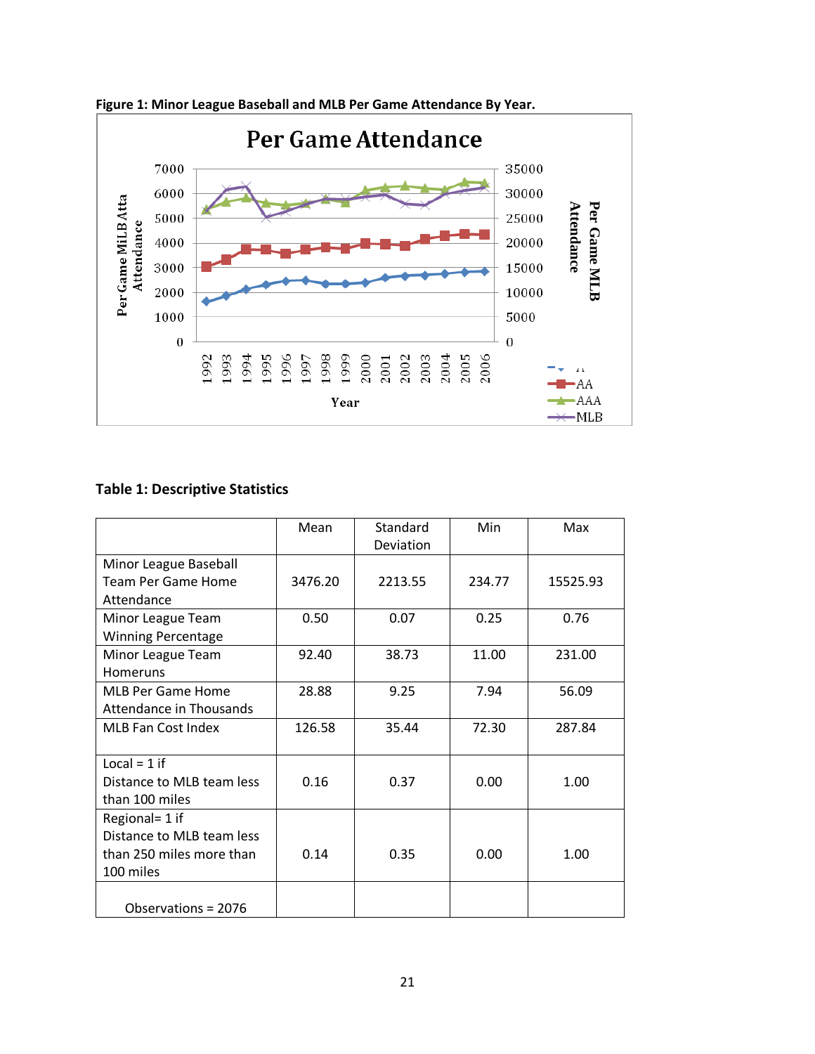

**Figure 1: Minor League Baseball and MLB Per Game Attendance By Year.**

### **Table 1: Descriptive Statistics**

|                                                                                      | Mean    | Standard<br>Deviation | Min    | Max      |
|--------------------------------------------------------------------------------------|---------|-----------------------|--------|----------|
| Minor League Baseball<br><b>Team Per Game Home</b><br>Attendance                     | 3476.20 | 2213.55               | 234.77 | 15525.93 |
| Minor League Team<br><b>Winning Percentage</b>                                       | 0.50    | 0.07                  | 0.25   | 0.76     |
| Minor League Team<br>Homeruns                                                        | 92.40   | 38.73                 | 11.00  | 231.00   |
| <b>MLB Per Game Home</b><br>Attendance in Thousands                                  | 28.88   | 9.25                  | 7.94   | 56.09    |
| MLB Fan Cost Index                                                                   | 126.58  | 35.44                 | 72.30  | 287.84   |
| Local = $1$ if<br>Distance to MLB team less<br>than 100 miles                        | 0.16    | 0.37                  | 0.00   | 1.00     |
| Regional= 1 if<br>Distance to MLB team less<br>than 250 miles more than<br>100 miles | 0.14    | 0.35                  | 0.00   | 1.00     |
| Observations = 2076                                                                  |         |                       |        |          |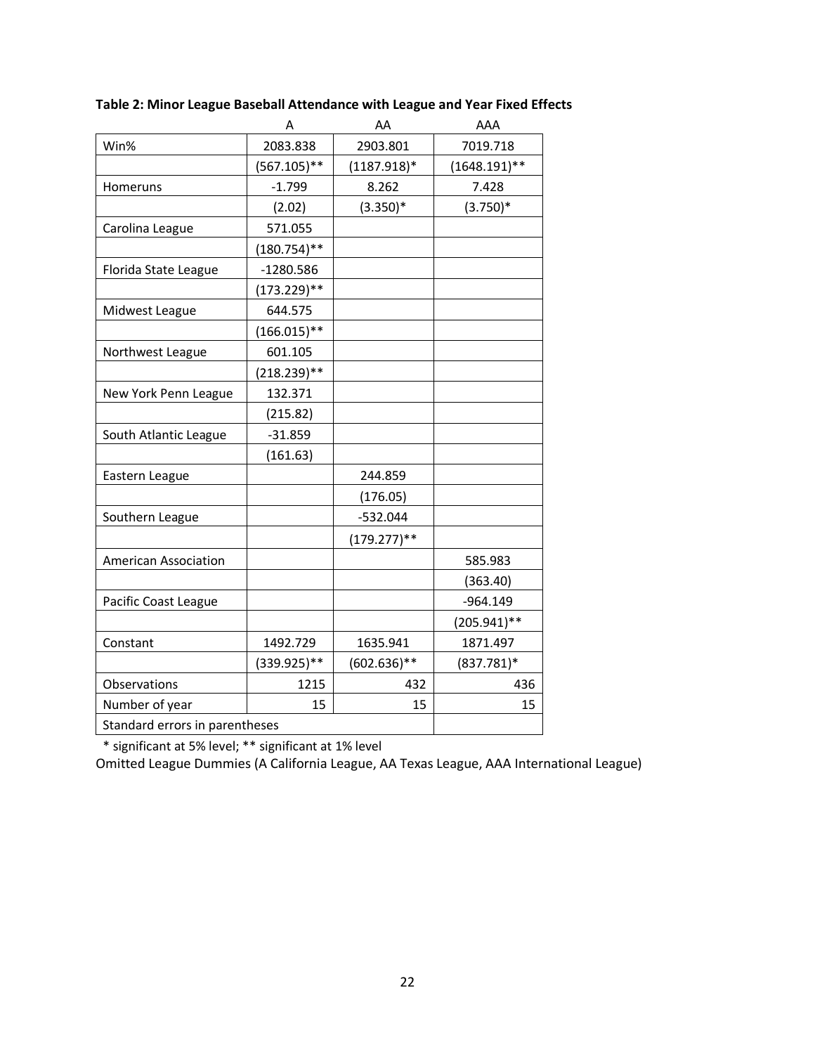|                                | Α              | AA             | AAA             |
|--------------------------------|----------------|----------------|-----------------|
| Win%                           | 2083.838       | 2903.801       | 7019.718        |
|                                | $(567.105)$ ** | $(1187.918)*$  | $(1648.191)$ ** |
| Homeruns                       | $-1.799$       | 8.262          | 7.428           |
|                                | (2.02)         | $(3.350)*$     | $(3.750)*$      |
| Carolina League                | 571.055        |                |                 |
|                                | $(180.754)$ ** |                |                 |
| Florida State League           | $-1280.586$    |                |                 |
|                                | $(173.229)$ ** |                |                 |
| Midwest League                 | 644.575        |                |                 |
|                                | $(166.015)$ ** |                |                 |
| Northwest League               | 601.105        |                |                 |
|                                | $(218.239)$ ** |                |                 |
| New York Penn League           | 132.371        |                |                 |
|                                | (215.82)       |                |                 |
| South Atlantic League          | $-31.859$      |                |                 |
|                                | (161.63)       |                |                 |
| Eastern League                 |                | 244.859        |                 |
|                                |                | (176.05)       |                 |
| Southern League                |                | $-532.044$     |                 |
|                                |                | $(179.277)**$  |                 |
| <b>American Association</b>    |                |                | 585.983         |
|                                |                |                | (363.40)        |
| Pacific Coast League           |                |                | $-964.149$      |
|                                |                |                | $(205.941)$ **  |
| Constant                       | 1492.729       | 1635.941       | 1871.497        |
|                                | $(339.925)$ ** | $(602.636)$ ** | $(837.781)^*$   |
| Observations                   | 1215           | 432            | 436             |
| Number of year                 | 15             | 15             | 15              |
| Standard errors in parentheses |                |                |                 |

**Table 2: Minor League Baseball Attendance with League and Year Fixed Effects**

\* significant at 5% level; \*\* significant at 1% level

Omitted League Dummies (A California League, AA Texas League, AAA International League)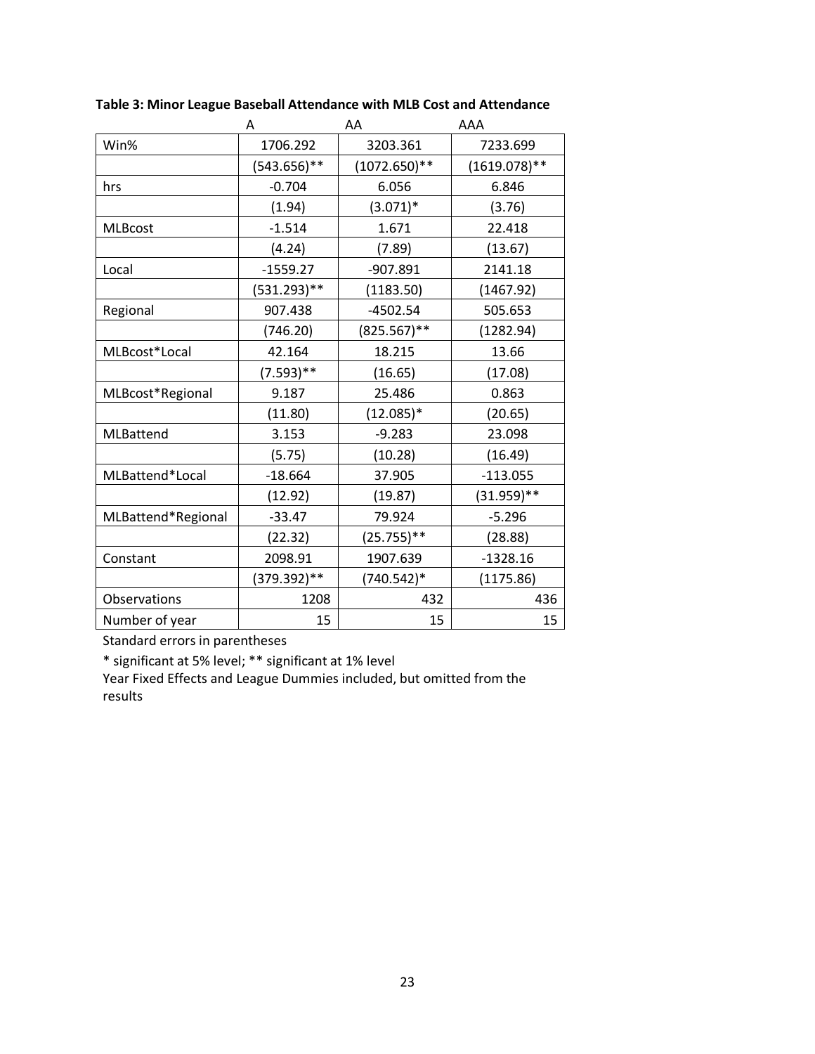|                    | A              | AA             | AAA             |
|--------------------|----------------|----------------|-----------------|
| Win%               | 1706.292       | 3203.361       | 7233.699        |
|                    | $(543.656)$ ** | $(1072.650)**$ | $(1619.078)$ ** |
| hrs                | $-0.704$       | 6.056          | 6.846           |
|                    | (1.94)         | $(3.071)^*$    | (3.76)          |
| <b>MLBcost</b>     | $-1.514$       | 1.671          | 22.418          |
|                    | (4.24)         | (7.89)         | (13.67)         |
| Local              | $-1559.27$     | $-907.891$     | 2141.18         |
|                    | $(531.293)**$  | (1183.50)      | (1467.92)       |
| Regional           | 907.438        | $-4502.54$     | 505.653         |
|                    | (746.20)       | $(825.567)$ ** | (1282.94)       |
| MLBcost*Local      | 42.164         | 18.215         | 13.66           |
|                    | $(7.593)$ **   | (16.65)        | (17.08)         |
| MLBcost*Regional   | 9.187          | 25.486         | 0.863           |
|                    | (11.80)        | $(12.085)*$    | (20.65)         |
| MLBattend          | 3.153          | $-9.283$       | 23.098          |
|                    | (5.75)         | (10.28)        | (16.49)         |
| MLBattend*Local    | $-18.664$      | 37.905         | $-113.055$      |
|                    | (12.92)        | (19.87)        | $(31.959)$ **   |
| MLBattend*Regional | $-33.47$       | 79.924         | $-5.296$        |
|                    | (22.32)        | $(25.755)$ **  | (28.88)         |
| Constant           | 2098.91        | 1907.639       | $-1328.16$      |
|                    | $(379.392)$ ** | $(740.542)^*$  | (1175.86)       |
| Observations       | 1208           | 432            | 436             |
| Number of year     | 15             | 15             | 15              |

**Table 3: Minor League Baseball Attendance with MLB Cost and Attendance**

Standard errors in parentheses

\* significant at 5% level; \*\* significant at 1% level

Year Fixed Effects and League Dummies included, but omitted from the results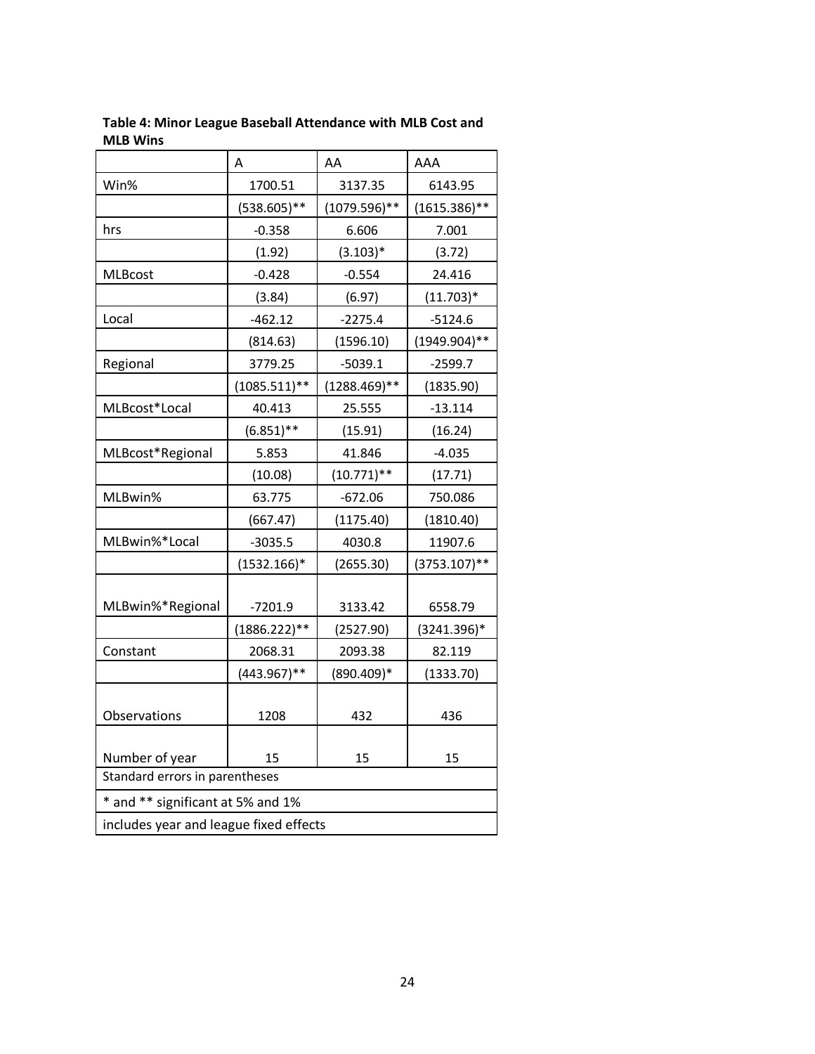|                                        | A               | AA              | AAA             |  |
|----------------------------------------|-----------------|-----------------|-----------------|--|
| Win%                                   | 1700.51         | 3137.35         | 6143.95         |  |
|                                        | $(538.605)$ **  | $(1079.596)$ ** | $(1615.386)$ ** |  |
| hrs                                    | $-0.358$        | 6.606           | 7.001           |  |
|                                        | (1.92)          | $(3.103)*$      | (3.72)          |  |
| <b>MLBcost</b>                         | $-0.428$        | $-0.554$        | 24.416          |  |
|                                        | (3.84)          | (6.97)          | $(11.703)*$     |  |
| Local                                  | $-462.12$       | $-2275.4$       | $-5124.6$       |  |
|                                        | (814.63)        | (1596.10)       | $(1949.904)$ ** |  |
| Regional                               | 3779.25         | $-5039.1$       | $-2599.7$       |  |
|                                        | $(1085.511)$ ** | $(1288.469)$ ** | (1835.90)       |  |
| MLBcost*Local                          | 40.413          | 25.555          | $-13.114$       |  |
|                                        | $(6.851)$ **    | (15.91)         | (16.24)         |  |
| MLBcost*Regional                       | 5.853           | 41.846          | $-4.035$        |  |
|                                        | (10.08)         | $(10.771)$ **   | (17.71)         |  |
| MLBwin%                                | 63.775          | $-672.06$       | 750.086         |  |
|                                        | (667.47)        | (1175.40)       | (1810.40)       |  |
| MLBwin%*Local                          | $-3035.5$       | 4030.8          | 11907.6         |  |
|                                        | $(1532.166)^*$  | (2655.30)       | $(3753.107)$ ** |  |
| MLBwin%*Regional                       | $-7201.9$       | 3133.42         | 6558.79         |  |
|                                        | $(1886.222)**$  | (2527.90)       | $(3241.396)*$   |  |
| Constant                               | 2068.31         | 2093.38         | 82.119          |  |
|                                        | $(443.967)$ **  | $(890.409)*$    | (1333.70)       |  |
| Observations                           | 1208            | 432             | 436             |  |
| Number of year                         | 15              | 15              | 15              |  |
| Standard errors in parentheses         |                 |                 |                 |  |
| * and ** significant at 5% and 1%      |                 |                 |                 |  |
| includes year and league fixed effects |                 |                 |                 |  |
|                                        |                 |                 |                 |  |

**Table 4: Minor League Baseball Attendance with MLB Cost and MLB Wins**